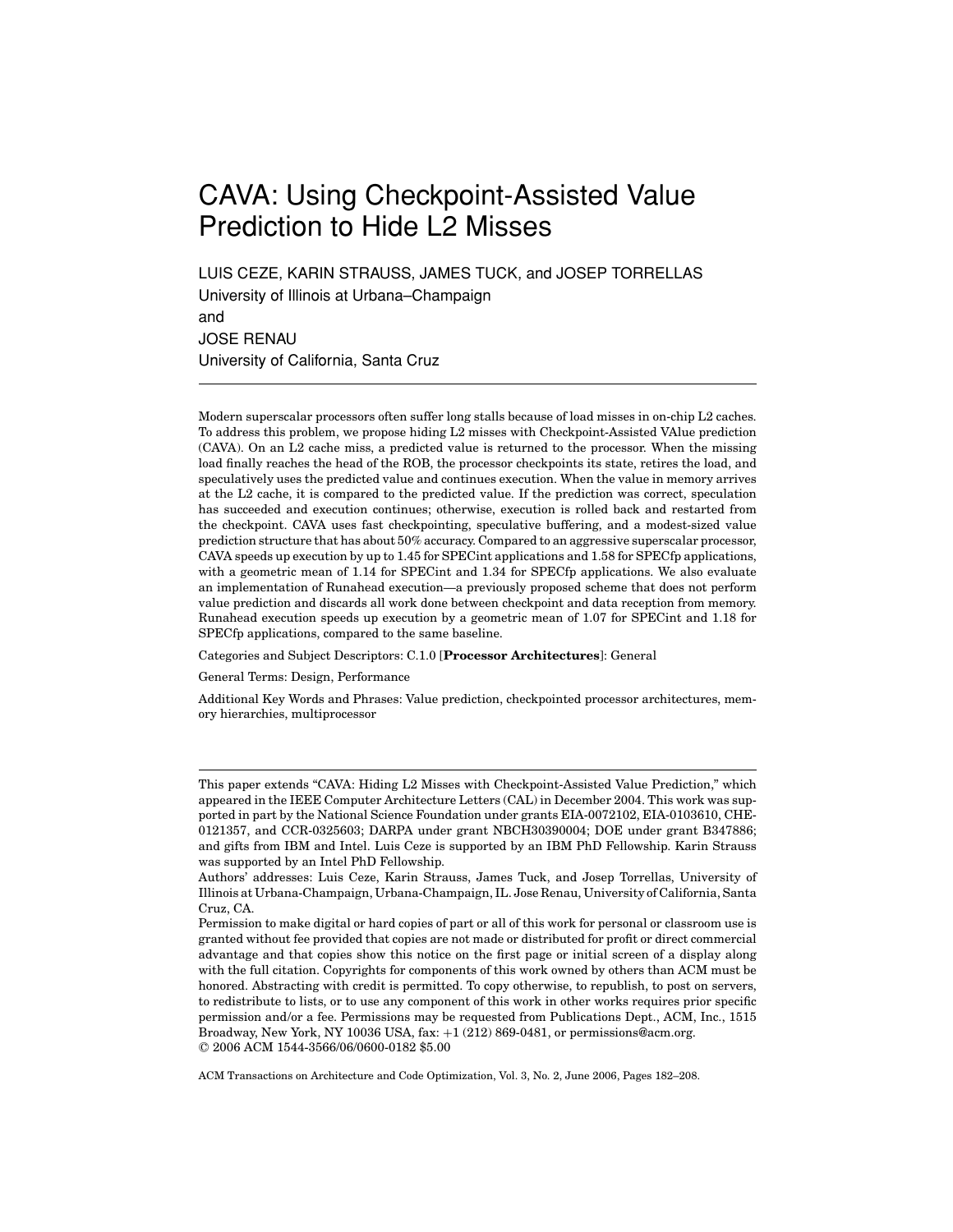# CAVA: Using Checkpoint-Assisted Value Prediction to Hide L2 Misses

LUIS CEZE, KARIN STRAUSS, JAMES TUCK, and JOSEP TORRELLAS University of Illinois at Urbana–Champaign and JOSE RENAU University of California, Santa Cruz

Modern superscalar processors often suffer long stalls because of load misses in on-chip L2 caches. To address this problem, we propose hiding L2 misses with Checkpoint-Assisted VAlue prediction (CAVA). On an L2 cache miss, a predicted value is returned to the processor. When the missing load finally reaches the head of the ROB, the processor checkpoints its state, retires the load, and speculatively uses the predicted value and continues execution. When the value in memory arrives at the L2 cache, it is compared to the predicted value. If the prediction was correct, speculation has succeeded and execution continues; otherwise, execution is rolled back and restarted from the checkpoint. CAVA uses fast checkpointing, speculative buffering, and a modest-sized value prediction structure that has about 50% accuracy. Compared to an aggressive superscalar processor, CAVA speeds up execution by up to 1.45 for SPECint applications and 1.58 for SPECfp applications, with a geometric mean of 1.14 for SPECint and 1.34 for SPECfp applications. We also evaluate an implementation of Runahead execution—a previously proposed scheme that does not perform value prediction and discards all work done between checkpoint and data reception from memory. Runahead execution speeds up execution by a geometric mean of 1.07 for SPECint and 1.18 for SPECfp applications, compared to the same baseline.

Categories and Subject Descriptors: C.1.0 [**Processor Architectures**]: General

General Terms: Design, Performance

Additional Key Words and Phrases: Value prediction, checkpointed processor architectures, memory hierarchies, multiprocessor

This paper extends "CAVA: Hiding L2 Misses with Checkpoint-Assisted Value Prediction," which appeared in the IEEE Computer Architecture Letters (CAL) in December 2004. This work was supported in part by the National Science Foundation under grants EIA-0072102, EIA-0103610, CHE-0121357, and CCR-0325603; DARPA under grant NBCH30390004; DOE under grant B347886; and gifts from IBM and Intel. Luis Ceze is supported by an IBM PhD Fellowship. Karin Strauss was supported by an Intel PhD Fellowship.

Authors' addresses: Luis Ceze, Karin Strauss, James Tuck, and Josep Torrellas, University of Illinois at Urbana-Champaign, Urbana-Champaign, IL. Jose Renau, University of California, Santa Cruz, CA.

Permission to make digital or hard copies of part or all of this work for personal or classroom use is granted without fee provided that copies are not made or distributed for profit or direct commercial advantage and that copies show this notice on the first page or initial screen of a display along with the full citation. Copyrights for components of this work owned by others than ACM must be honored. Abstracting with credit is permitted. To copy otherwise, to republish, to post on servers, to redistribute to lists, or to use any component of this work in other works requires prior specific permission and/or a fee. Permissions may be requested from Publications Dept., ACM, Inc., 1515 Broadway, New York, NY 10036 USA,  $\text{fax:} +1$  (212) 869-0481, or permissions@acm.org. -C 2006 ACM 1544-3566/06/0600-0182 \$5.00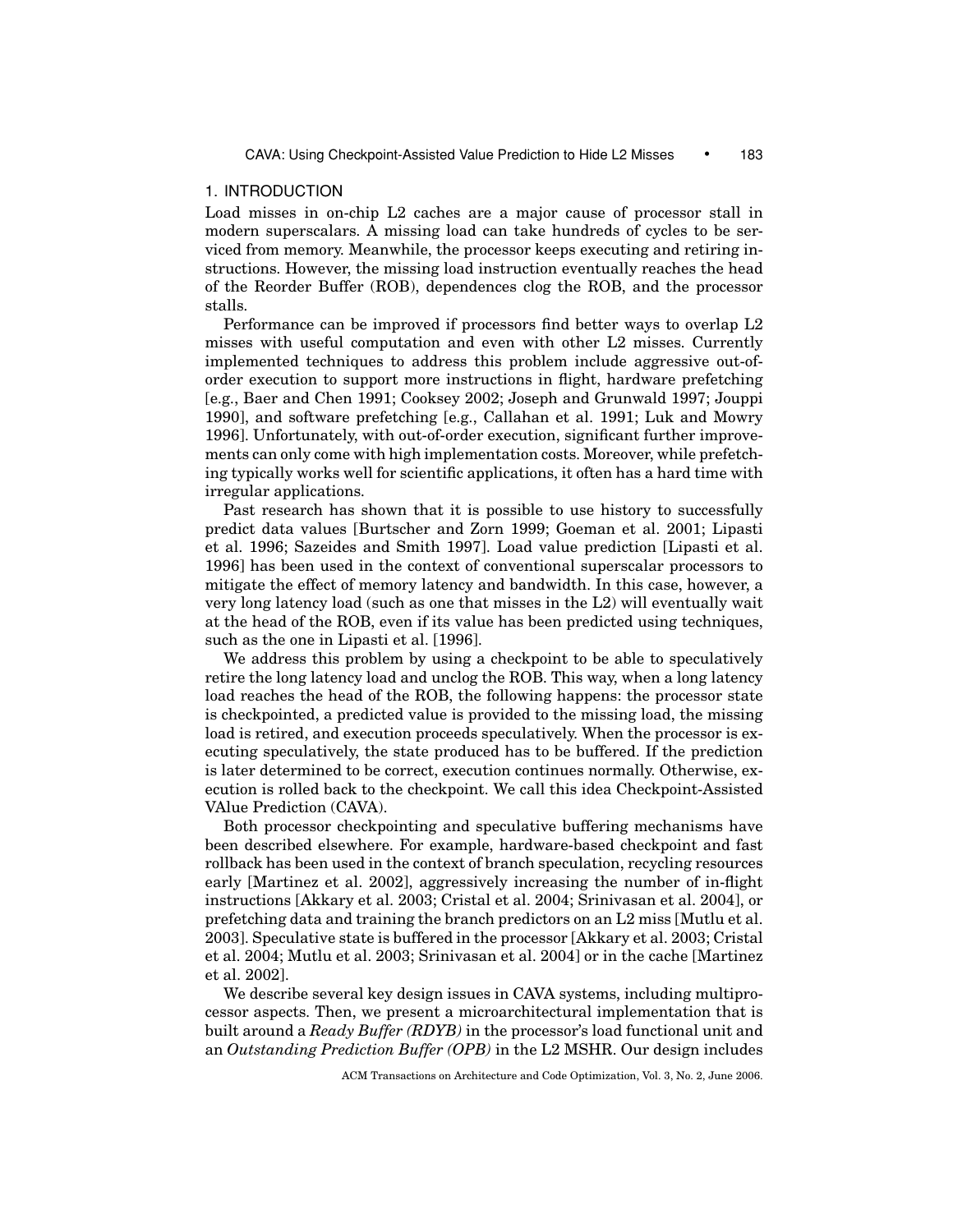## 1. INTRODUCTION

Load misses in on-chip L2 caches are a major cause of processor stall in modern superscalars. A missing load can take hundreds of cycles to be serviced from memory. Meanwhile, the processor keeps executing and retiring instructions. However, the missing load instruction eventually reaches the head of the Reorder Buffer (ROB), dependences clog the ROB, and the processor stalls.

Performance can be improved if processors find better ways to overlap L2 misses with useful computation and even with other L2 misses. Currently implemented techniques to address this problem include aggressive out-oforder execution to support more instructions in flight, hardware prefetching [e.g., Baer and Chen 1991; Cooksey 2002; Joseph and Grunwald 1997; Jouppi 1990], and software prefetching [e.g., Callahan et al. 1991; Luk and Mowry 1996]. Unfortunately, with out-of-order execution, significant further improvements can only come with high implementation costs. Moreover, while prefetching typically works well for scientific applications, it often has a hard time with irregular applications.

Past research has shown that it is possible to use history to successfully predict data values [Burtscher and Zorn 1999; Goeman et al. 2001; Lipasti et al. 1996; Sazeides and Smith 1997]. Load value prediction [Lipasti et al. 1996] has been used in the context of conventional superscalar processors to mitigate the effect of memory latency and bandwidth. In this case, however, a very long latency load (such as one that misses in the L2) will eventually wait at the head of the ROB, even if its value has been predicted using techniques, such as the one in Lipasti et al. [1996].

We address this problem by using a checkpoint to be able to speculatively retire the long latency load and unclog the ROB. This way, when a long latency load reaches the head of the ROB, the following happens: the processor state is checkpointed, a predicted value is provided to the missing load, the missing load is retired, and execution proceeds speculatively. When the processor is executing speculatively, the state produced has to be buffered. If the prediction is later determined to be correct, execution continues normally. Otherwise, execution is rolled back to the checkpoint. We call this idea Checkpoint-Assisted VAlue Prediction (CAVA).

Both processor checkpointing and speculative buffering mechanisms have been described elsewhere. For example, hardware-based checkpoint and fast rollback has been used in the context of branch speculation, recycling resources early [Martinez et al. 2002], aggressively increasing the number of in-flight instructions [Akkary et al. 2003; Cristal et al. 2004; Srinivasan et al. 2004], or prefetching data and training the branch predictors on an L2 miss [Mutlu et al. 2003]. Speculative state is buffered in the processor [Akkary et al. 2003; Cristal et al. 2004; Mutlu et al. 2003; Srinivasan et al. 2004] or in the cache [Martinez et al. 2002].

We describe several key design issues in CAVA systems, including multiprocessor aspects. Then, we present a microarchitectural implementation that is built around a *Ready Buffer (RDYB)* in the processor's load functional unit and an *Outstanding Prediction Buffer (OPB)* in the L2 MSHR. Our design includes

ACM Transactions on Architecture and Code Optimization, Vol. 3, No. 2, June 2006.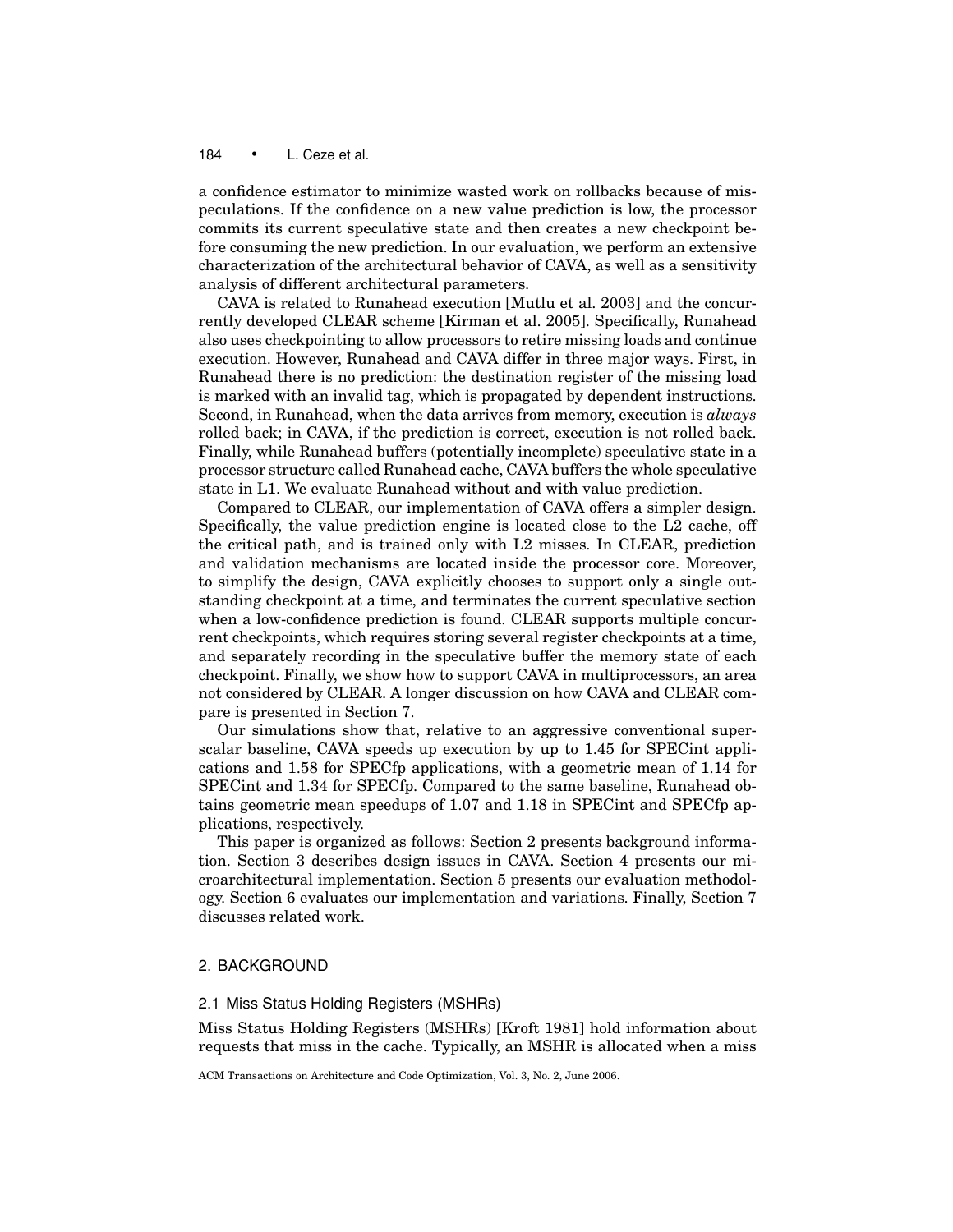a confidence estimator to minimize wasted work on rollbacks because of mispeculations. If the confidence on a new value prediction is low, the processor commits its current speculative state and then creates a new checkpoint before consuming the new prediction. In our evaluation, we perform an extensive characterization of the architectural behavior of CAVA, as well as a sensitivity analysis of different architectural parameters.

CAVA is related to Runahead execution [Mutlu et al. 2003] and the concurrently developed CLEAR scheme [Kirman et al. 2005]. Specifically, Runahead also uses checkpointing to allow processors to retire missing loads and continue execution. However, Runahead and CAVA differ in three major ways. First, in Runahead there is no prediction: the destination register of the missing load is marked with an invalid tag, which is propagated by dependent instructions. Second, in Runahead, when the data arrives from memory, execution is *always* rolled back; in CAVA, if the prediction is correct, execution is not rolled back. Finally, while Runahead buffers (potentially incomplete) speculative state in a processor structure called Runahead cache, CAVA buffers the whole speculative state in L1. We evaluate Runahead without and with value prediction.

Compared to CLEAR, our implementation of CAVA offers a simpler design. Specifically, the value prediction engine is located close to the L2 cache, off the critical path, and is trained only with L2 misses. In CLEAR, prediction and validation mechanisms are located inside the processor core. Moreover, to simplify the design, CAVA explicitly chooses to support only a single outstanding checkpoint at a time, and terminates the current speculative section when a low-confidence prediction is found. CLEAR supports multiple concurrent checkpoints, which requires storing several register checkpoints at a time, and separately recording in the speculative buffer the memory state of each checkpoint. Finally, we show how to support CAVA in multiprocessors, an area not considered by CLEAR. A longer discussion on how CAVA and CLEAR compare is presented in Section 7.

Our simulations show that, relative to an aggressive conventional superscalar baseline, CAVA speeds up execution by up to 1.45 for SPECint applications and 1.58 for SPECfp applications, with a geometric mean of 1.14 for SPECint and 1.34 for SPECfp. Compared to the same baseline, Runahead obtains geometric mean speedups of 1.07 and 1.18 in SPECint and SPECfp applications, respectively.

This paper is organized as follows: Section 2 presents background information. Section 3 describes design issues in CAVA. Section 4 presents our microarchitectural implementation. Section 5 presents our evaluation methodology. Section 6 evaluates our implementation and variations. Finally, Section 7 discusses related work.

## 2. BACKGROUND

#### 2.1 Miss Status Holding Registers (MSHRs)

Miss Status Holding Registers (MSHRs) [Kroft 1981] hold information about requests that miss in the cache. Typically, an MSHR is allocated when a miss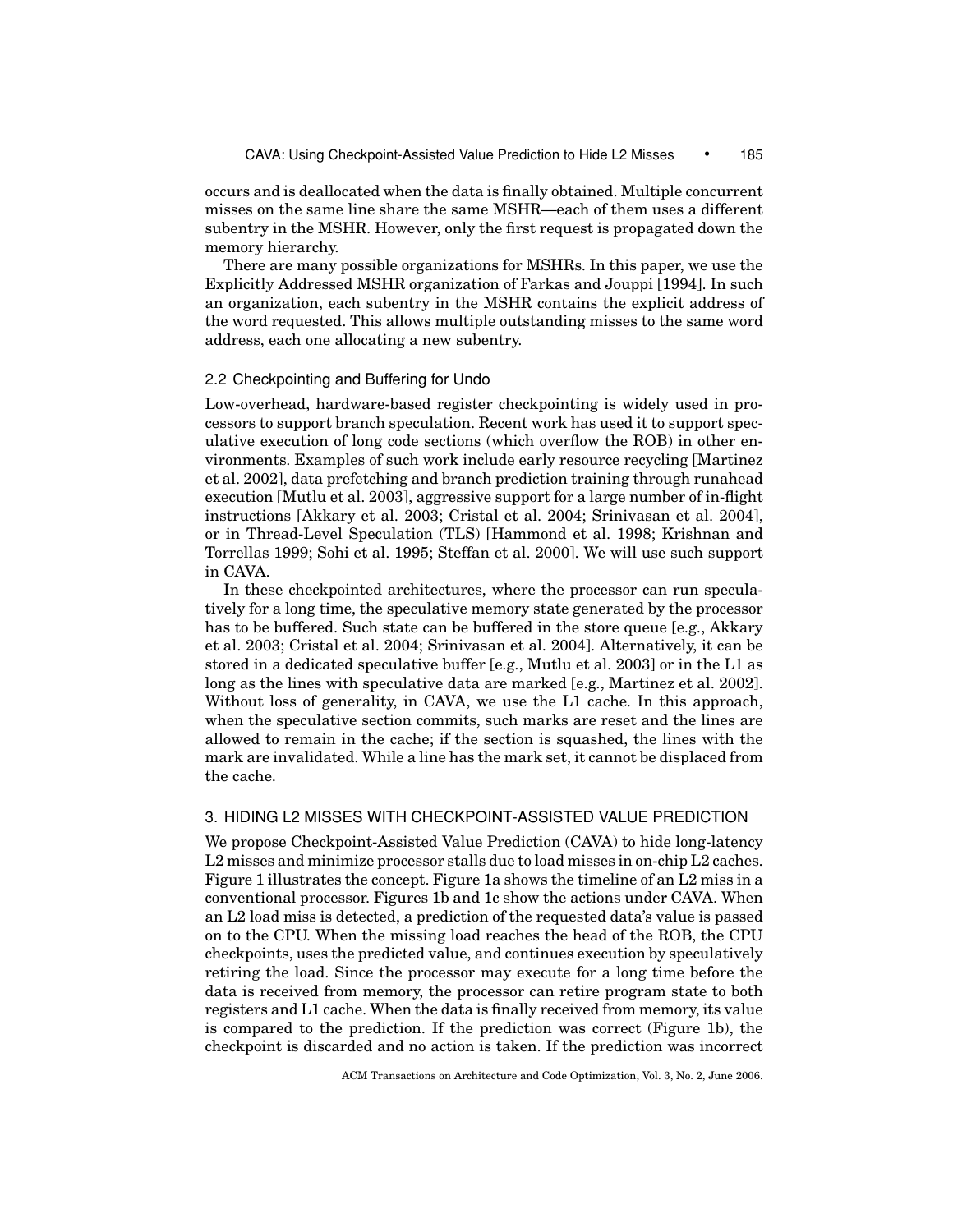occurs and is deallocated when the data is finally obtained. Multiple concurrent misses on the same line share the same MSHR—each of them uses a different subentry in the MSHR. However, only the first request is propagated down the memory hierarchy.

There are many possible organizations for MSHRs. In this paper, we use the Explicitly Addressed MSHR organization of Farkas and Jouppi [1994]. In such an organization, each subentry in the MSHR contains the explicit address of the word requested. This allows multiple outstanding misses to the same word address, each one allocating a new subentry.

## 2.2 Checkpointing and Buffering for Undo

Low-overhead, hardware-based register checkpointing is widely used in processors to support branch speculation. Recent work has used it to support speculative execution of long code sections (which overflow the ROB) in other environments. Examples of such work include early resource recycling [Martinez et al. 2002], data prefetching and branch prediction training through runahead execution [Mutlu et al. 2003], aggressive support for a large number of in-flight instructions [Akkary et al. 2003; Cristal et al. 2004; Srinivasan et al. 2004], or in Thread-Level Speculation (TLS) [Hammond et al. 1998; Krishnan and Torrellas 1999; Sohi et al. 1995; Steffan et al. 2000]. We will use such support in CAVA.

In these checkpointed architectures, where the processor can run speculatively for a long time, the speculative memory state generated by the processor has to be buffered. Such state can be buffered in the store queue [e.g., Akkary et al. 2003; Cristal et al. 2004; Srinivasan et al. 2004]. Alternatively, it can be stored in a dedicated speculative buffer [e.g., Mutlu et al. 2003] or in the L1 as long as the lines with speculative data are marked [e.g., Martinez et al. 2002]. Without loss of generality, in CAVA, we use the L1 cache. In this approach, when the speculative section commits, such marks are reset and the lines are allowed to remain in the cache; if the section is squashed, the lines with the mark are invalidated. While a line has the mark set, it cannot be displaced from the cache.

## 3. HIDING L2 MISSES WITH CHECKPOINT-ASSISTED VALUE PREDICTION

We propose Checkpoint-Assisted Value Prediction (CAVA) to hide long-latency L2 misses and minimize processor stalls due to load misses in on-chip L2 caches. Figure 1 illustrates the concept. Figure 1a shows the timeline of an L2 miss in a conventional processor. Figures 1b and 1c show the actions under CAVA. When an L2 load miss is detected, a prediction of the requested data's value is passed on to the CPU. When the missing load reaches the head of the ROB, the CPU checkpoints, uses the predicted value, and continues execution by speculatively retiring the load. Since the processor may execute for a long time before the data is received from memory, the processor can retire program state to both registers and L1 cache. When the data is finally received from memory, its value is compared to the prediction. If the prediction was correct (Figure 1b), the checkpoint is discarded and no action is taken. If the prediction was incorrect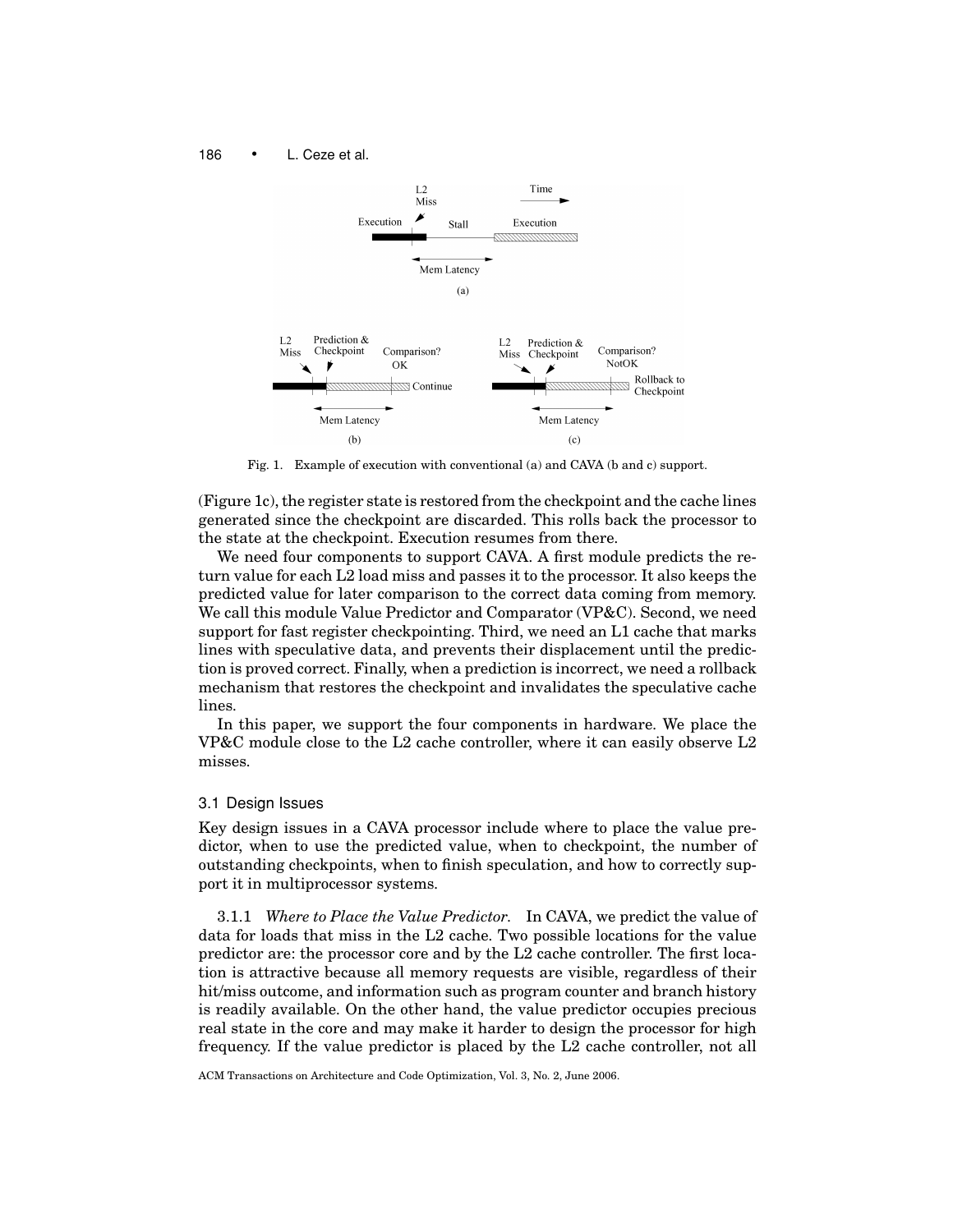

Fig. 1. Example of execution with conventional (a) and CAVA (b and c) support.

(Figure 1c), the register state is restored from the checkpoint and the cache lines generated since the checkpoint are discarded. This rolls back the processor to the state at the checkpoint. Execution resumes from there.

We need four components to support CAVA. A first module predicts the return value for each L2 load miss and passes it to the processor. It also keeps the predicted value for later comparison to the correct data coming from memory. We call this module Value Predictor and Comparator (VP&C). Second, we need support for fast register checkpointing. Third, we need an L1 cache that marks lines with speculative data, and prevents their displacement until the prediction is proved correct. Finally, when a prediction is incorrect, we need a rollback mechanism that restores the checkpoint and invalidates the speculative cache lines.

In this paper, we support the four components in hardware. We place the VP&C module close to the L2 cache controller, where it can easily observe L2 misses.

#### 3.1 Design Issues

Key design issues in a CAVA processor include where to place the value predictor, when to use the predicted value, when to checkpoint, the number of outstanding checkpoints, when to finish speculation, and how to correctly support it in multiprocessor systems.

3.1.1 *Where to Place the Value Predictor.* In CAVA, we predict the value of data for loads that miss in the L2 cache. Two possible locations for the value predictor are: the processor core and by the L2 cache controller. The first location is attractive because all memory requests are visible, regardless of their hit/miss outcome, and information such as program counter and branch history is readily available. On the other hand, the value predictor occupies precious real state in the core and may make it harder to design the processor for high frequency. If the value predictor is placed by the L2 cache controller, not all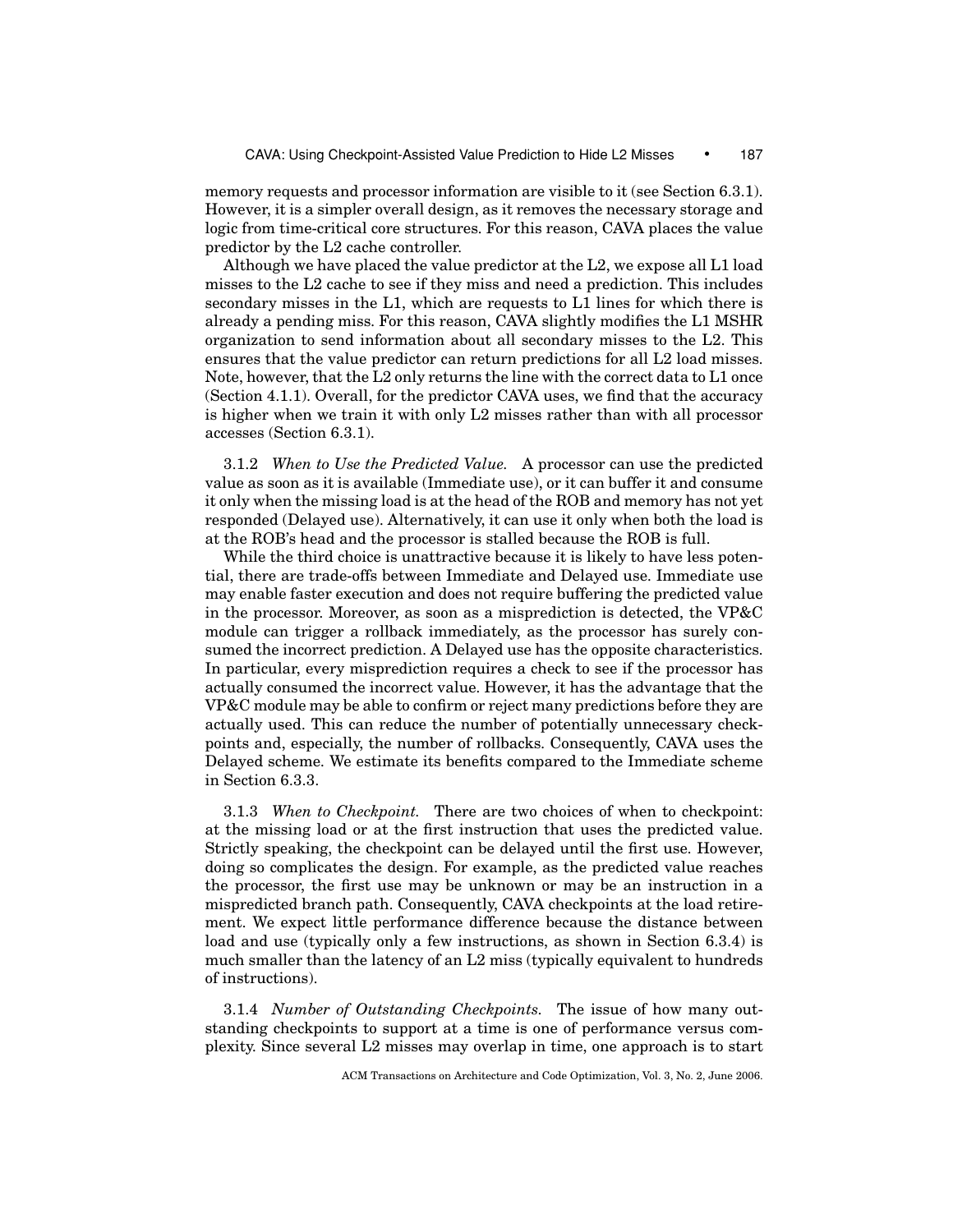memory requests and processor information are visible to it (see Section 6.3.1). However, it is a simpler overall design, as it removes the necessary storage and logic from time-critical core structures. For this reason, CAVA places the value predictor by the L2 cache controller.

Although we have placed the value predictor at the L2, we expose all L1 load misses to the L2 cache to see if they miss and need a prediction. This includes secondary misses in the L1, which are requests to L1 lines for which there is already a pending miss. For this reason, CAVA slightly modifies the L1 MSHR organization to send information about all secondary misses to the L2. This ensures that the value predictor can return predictions for all L2 load misses. Note, however, that the L2 only returns the line with the correct data to L1 once (Section 4.1.1). Overall, for the predictor CAVA uses, we find that the accuracy is higher when we train it with only L2 misses rather than with all processor accesses (Section 6.3.1).

3.1.2 *When to Use the Predicted Value.* A processor can use the predicted value as soon as it is available (Immediate use), or it can buffer it and consume it only when the missing load is at the head of the ROB and memory has not yet responded (Delayed use). Alternatively, it can use it only when both the load is at the ROB's head and the processor is stalled because the ROB is full.

While the third choice is unattractive because it is likely to have less potential, there are trade-offs between Immediate and Delayed use. Immediate use may enable faster execution and does not require buffering the predicted value in the processor. Moreover, as soon as a misprediction is detected, the VP&C module can trigger a rollback immediately, as the processor has surely consumed the incorrect prediction. A Delayed use has the opposite characteristics. In particular, every misprediction requires a check to see if the processor has actually consumed the incorrect value. However, it has the advantage that the VP&C module may be able to confirm or reject many predictions before they are actually used. This can reduce the number of potentially unnecessary checkpoints and, especially, the number of rollbacks. Consequently, CAVA uses the Delayed scheme. We estimate its benefits compared to the Immediate scheme in Section 6.3.3.

3.1.3 *When to Checkpoint.* There are two choices of when to checkpoint: at the missing load or at the first instruction that uses the predicted value. Strictly speaking, the checkpoint can be delayed until the first use. However, doing so complicates the design. For example, as the predicted value reaches the processor, the first use may be unknown or may be an instruction in a mispredicted branch path. Consequently, CAVA checkpoints at the load retirement. We expect little performance difference because the distance between load and use (typically only a few instructions, as shown in Section 6.3.4) is much smaller than the latency of an L2 miss (typically equivalent to hundreds of instructions).

3.1.4 *Number of Outstanding Checkpoints.* The issue of how many outstanding checkpoints to support at a time is one of performance versus complexity. Since several L2 misses may overlap in time, one approach is to start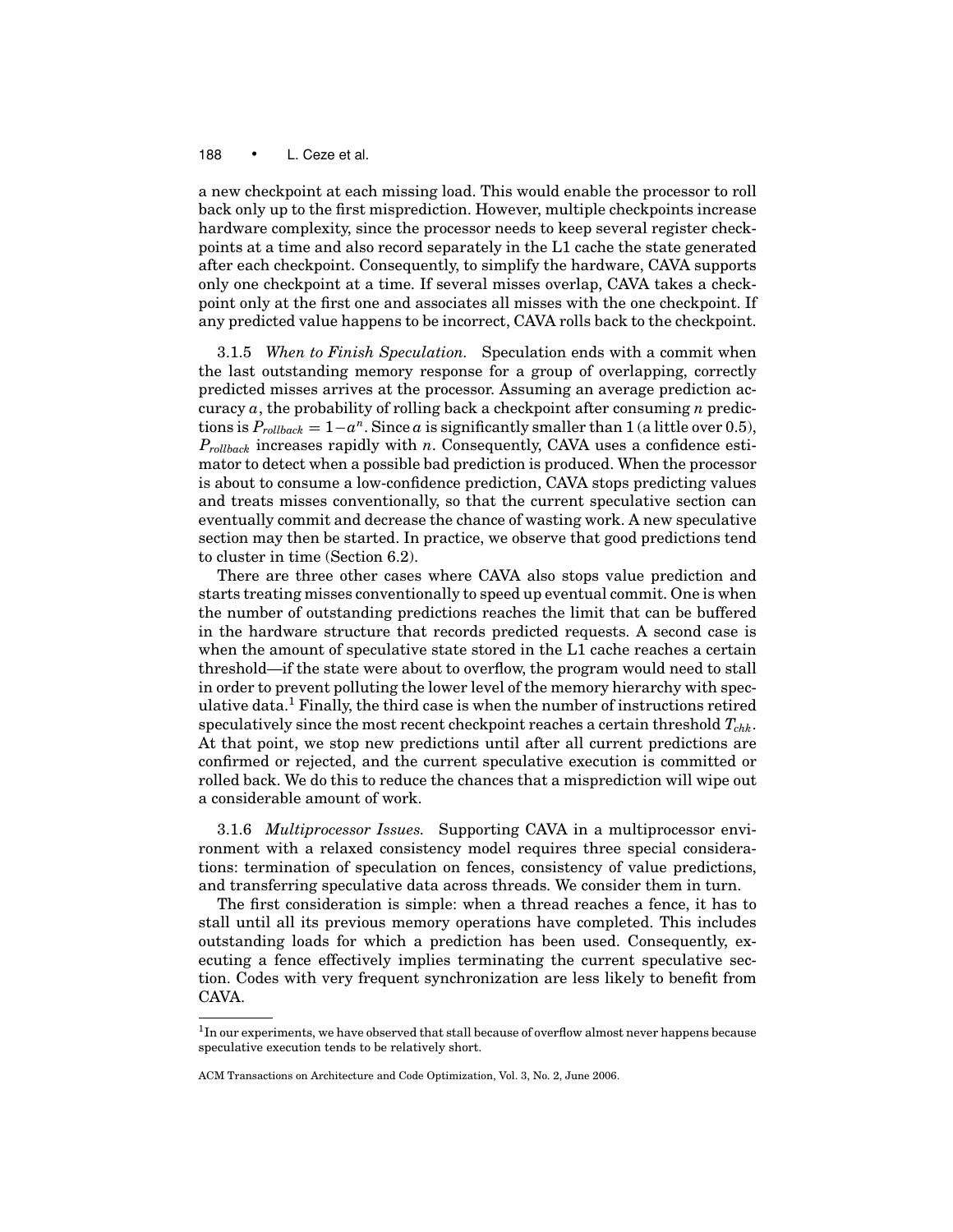a new checkpoint at each missing load. This would enable the processor to roll back only up to the first misprediction. However, multiple checkpoints increase hardware complexity, since the processor needs to keep several register checkpoints at a time and also record separately in the L1 cache the state generated after each checkpoint. Consequently, to simplify the hardware, CAVA supports only one checkpoint at a time. If several misses overlap, CAVA takes a checkpoint only at the first one and associates all misses with the one checkpoint. If any predicted value happens to be incorrect, CAVA rolls back to the checkpoint.

3.1.5 *When to Finish Speculation.* Speculation ends with a commit when the last outstanding memory response for a group of overlapping, correctly predicted misses arrives at the processor. Assuming an average prediction accuracy *a*, the probability of rolling back a checkpoint after consuming *n* predictions is  $P_{\text{rollback}} = 1 - a^n$ . Since *a* is significantly smaller than 1 (a little over 0.5), *Prollback* increases rapidly with *n*. Consequently, CAVA uses a confidence estimator to detect when a possible bad prediction is produced. When the processor is about to consume a low-confidence prediction, CAVA stops predicting values and treats misses conventionally, so that the current speculative section can eventually commit and decrease the chance of wasting work. A new speculative section may then be started. In practice, we observe that good predictions tend to cluster in time (Section 6.2).

There are three other cases where CAVA also stops value prediction and starts treating misses conventionally to speed up eventual commit. One is when the number of outstanding predictions reaches the limit that can be buffered in the hardware structure that records predicted requests. A second case is when the amount of speculative state stored in the L1 cache reaches a certain threshold—if the state were about to overflow, the program would need to stall in order to prevent polluting the lower level of the memory hierarchy with speculative data.<sup>1</sup> Finally, the third case is when the number of instructions retired speculatively since the most recent checkpoint reaches a certain threshold *Tchk*. At that point, we stop new predictions until after all current predictions are confirmed or rejected, and the current speculative execution is committed or rolled back. We do this to reduce the chances that a misprediction will wipe out a considerable amount of work.

3.1.6 *Multiprocessor Issues.* Supporting CAVA in a multiprocessor environment with a relaxed consistency model requires three special considerations: termination of speculation on fences, consistency of value predictions, and transferring speculative data across threads. We consider them in turn.

The first consideration is simple: when a thread reaches a fence, it has to stall until all its previous memory operations have completed. This includes outstanding loads for which a prediction has been used. Consequently, executing a fence effectively implies terminating the current speculative section. Codes with very frequent synchronization are less likely to benefit from CAVA.

<sup>&</sup>lt;sup>1</sup>In our experiments, we have observed that stall because of overflow almost never happens because speculative execution tends to be relatively short.

ACM Transactions on Architecture and Code Optimization, Vol. 3, No. 2, June 2006.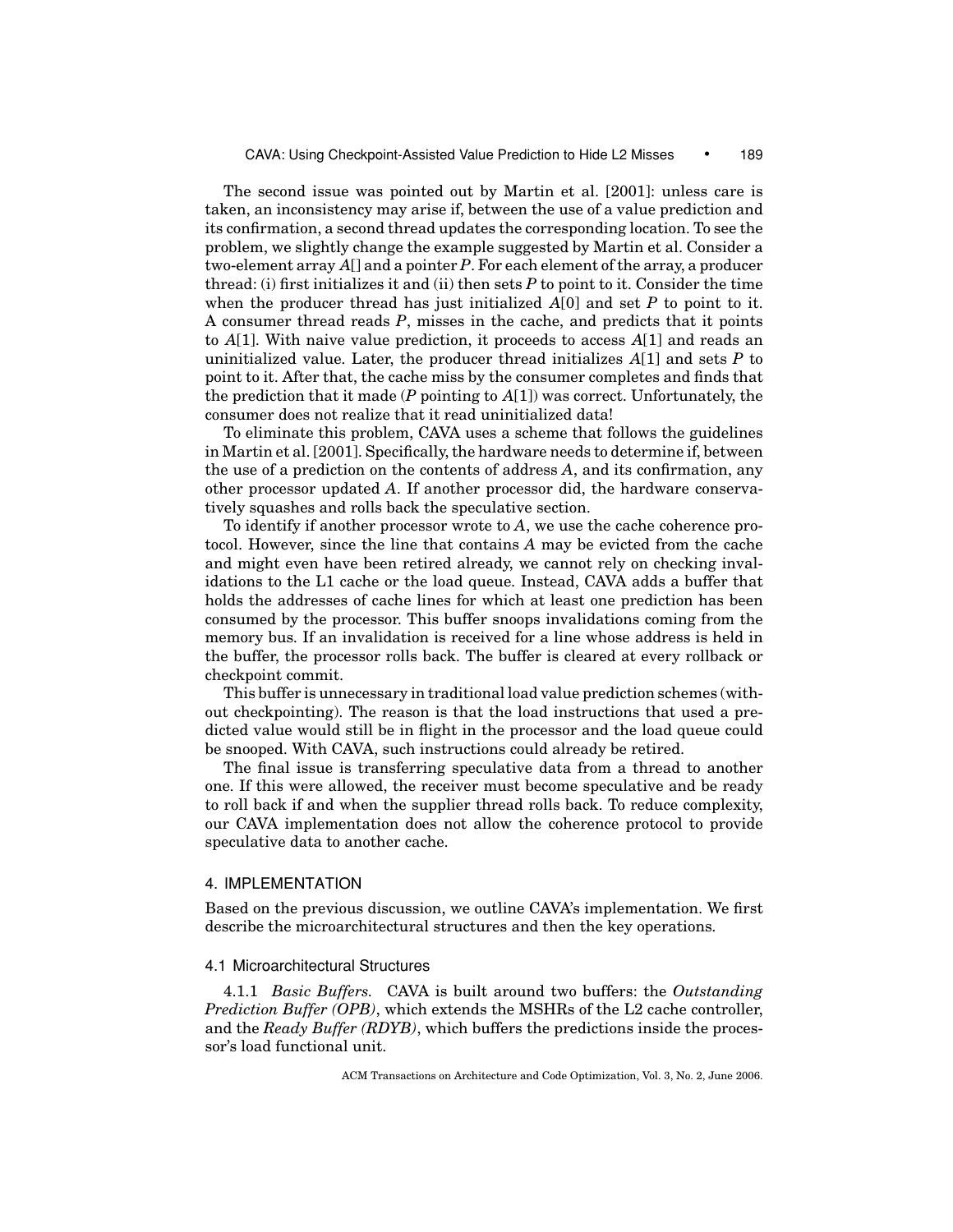The second issue was pointed out by Martin et al. [2001]: unless care is taken, an inconsistency may arise if, between the use of a value prediction and its confirmation, a second thread updates the corresponding location. To see the problem, we slightly change the example suggested by Martin et al. Consider a two-element array *A*[] and a pointer *P*. For each element of the array, a producer thread: (i) first initializes it and (ii) then sets *P* to point to it. Consider the time when the producer thread has just initialized  $A[0]$  and set P to point to it. A consumer thread reads *P*, misses in the cache, and predicts that it points to *A*[1]. With naive value prediction, it proceeds to access *A*[1] and reads an uninitialized value. Later, the producer thread initializes *A*[1] and sets *P* to point to it. After that, the cache miss by the consumer completes and finds that the prediction that it made (*P* pointing to *A*[1]) was correct. Unfortunately, the consumer does not realize that it read uninitialized data!

To eliminate this problem, CAVA uses a scheme that follows the guidelines in Martin et al. [2001]. Specifically, the hardware needs to determine if, between the use of a prediction on the contents of address *A*, and its confirmation, any other processor updated *A*. If another processor did, the hardware conservatively squashes and rolls back the speculative section.

To identify if another processor wrote to *A*, we use the cache coherence protocol. However, since the line that contains *A* may be evicted from the cache and might even have been retired already, we cannot rely on checking invalidations to the L1 cache or the load queue. Instead, CAVA adds a buffer that holds the addresses of cache lines for which at least one prediction has been consumed by the processor. This buffer snoops invalidations coming from the memory bus. If an invalidation is received for a line whose address is held in the buffer, the processor rolls back. The buffer is cleared at every rollback or checkpoint commit.

This buffer is unnecessary in traditional load value prediction schemes (without checkpointing). The reason is that the load instructions that used a predicted value would still be in flight in the processor and the load queue could be snooped. With CAVA, such instructions could already be retired.

The final issue is transferring speculative data from a thread to another one. If this were allowed, the receiver must become speculative and be ready to roll back if and when the supplier thread rolls back. To reduce complexity, our CAVA implementation does not allow the coherence protocol to provide speculative data to another cache.

## 4. IMPLEMENTATION

Based on the previous discussion, we outline CAVA's implementation. We first describe the microarchitectural structures and then the key operations.

## 4.1 Microarchitectural Structures

4.1.1 *Basic Buffers.* CAVA is built around two buffers: the *Outstanding Prediction Buffer (OPB)*, which extends the MSHRs of the L2 cache controller, and the *Ready Buffer (RDYB)*, which buffers the predictions inside the processor's load functional unit.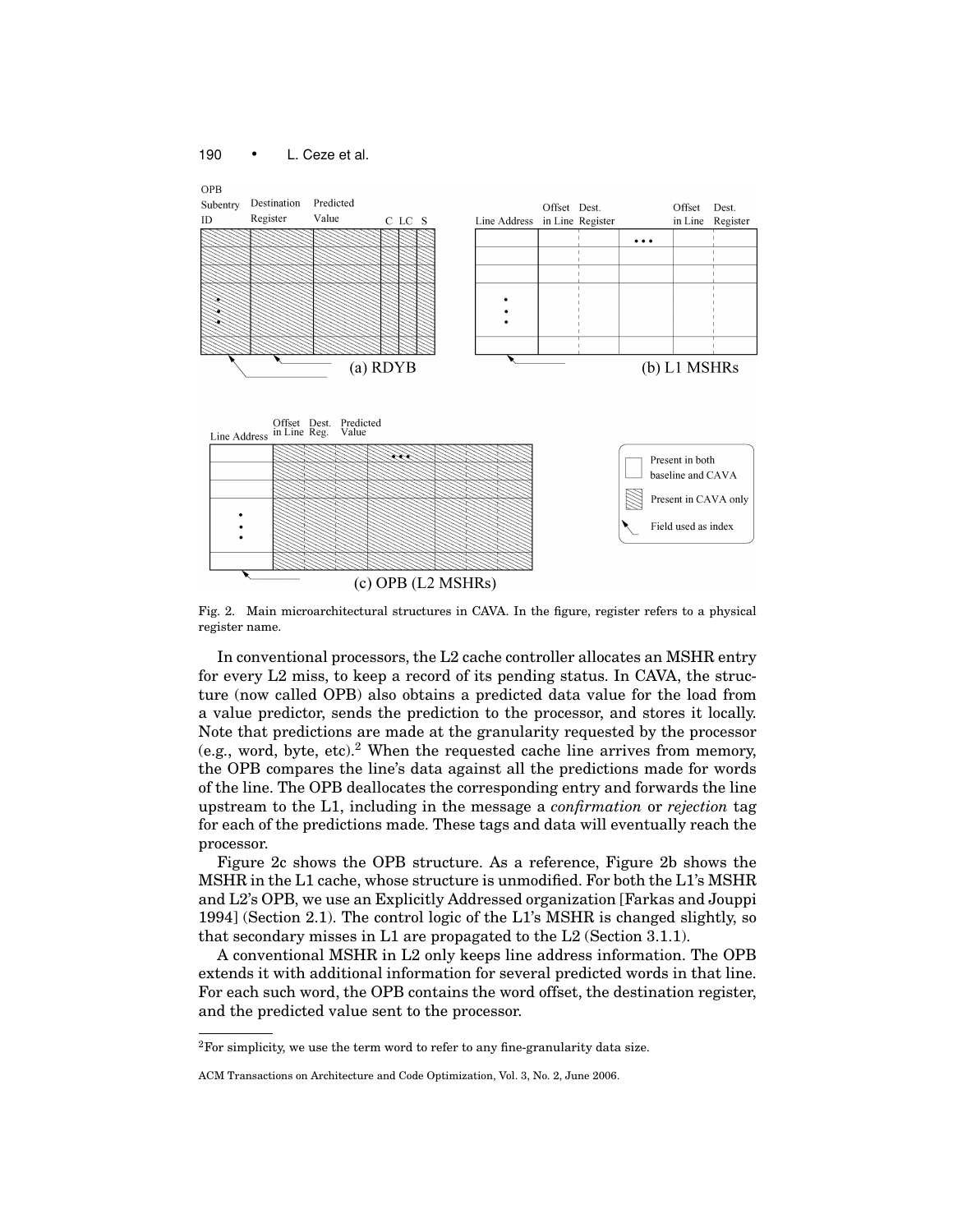

Fig. 2. Main microarchitectural structures in CAVA. In the figure, register refers to a physical register name.

In conventional processors, the L2 cache controller allocates an MSHR entry for every L2 miss, to keep a record of its pending status. In CAVA, the structure (now called OPB) also obtains a predicted data value for the load from a value predictor, sends the prediction to the processor, and stores it locally. Note that predictions are made at the granularity requested by the processor (e.g., word, byte, etc).<sup>2</sup> When the requested cache line arrives from memory, the OPB compares the line's data against all the predictions made for words of the line. The OPB deallocates the corresponding entry and forwards the line upstream to the L1, including in the message a *confirmation* or *rejection* tag for each of the predictions made. These tags and data will eventually reach the processor.

Figure 2c shows the OPB structure. As a reference, Figure 2b shows the MSHR in the L1 cache, whose structure is unmodified. For both the L1's MSHR and L2's OPB, we use an Explicitly Addressed organization [Farkas and Jouppi 1994] (Section 2.1). The control logic of the L1's MSHR is changed slightly, so that secondary misses in L1 are propagated to the L2 (Section 3.1.1).

A conventional MSHR in L2 only keeps line address information. The OPB extends it with additional information for several predicted words in that line. For each such word, the OPB contains the word offset, the destination register, and the predicted value sent to the processor.

 ${}^{2}$ For simplicity, we use the term word to refer to any fine-granularity data size.

ACM Transactions on Architecture and Code Optimization, Vol. 3, No. 2, June 2006.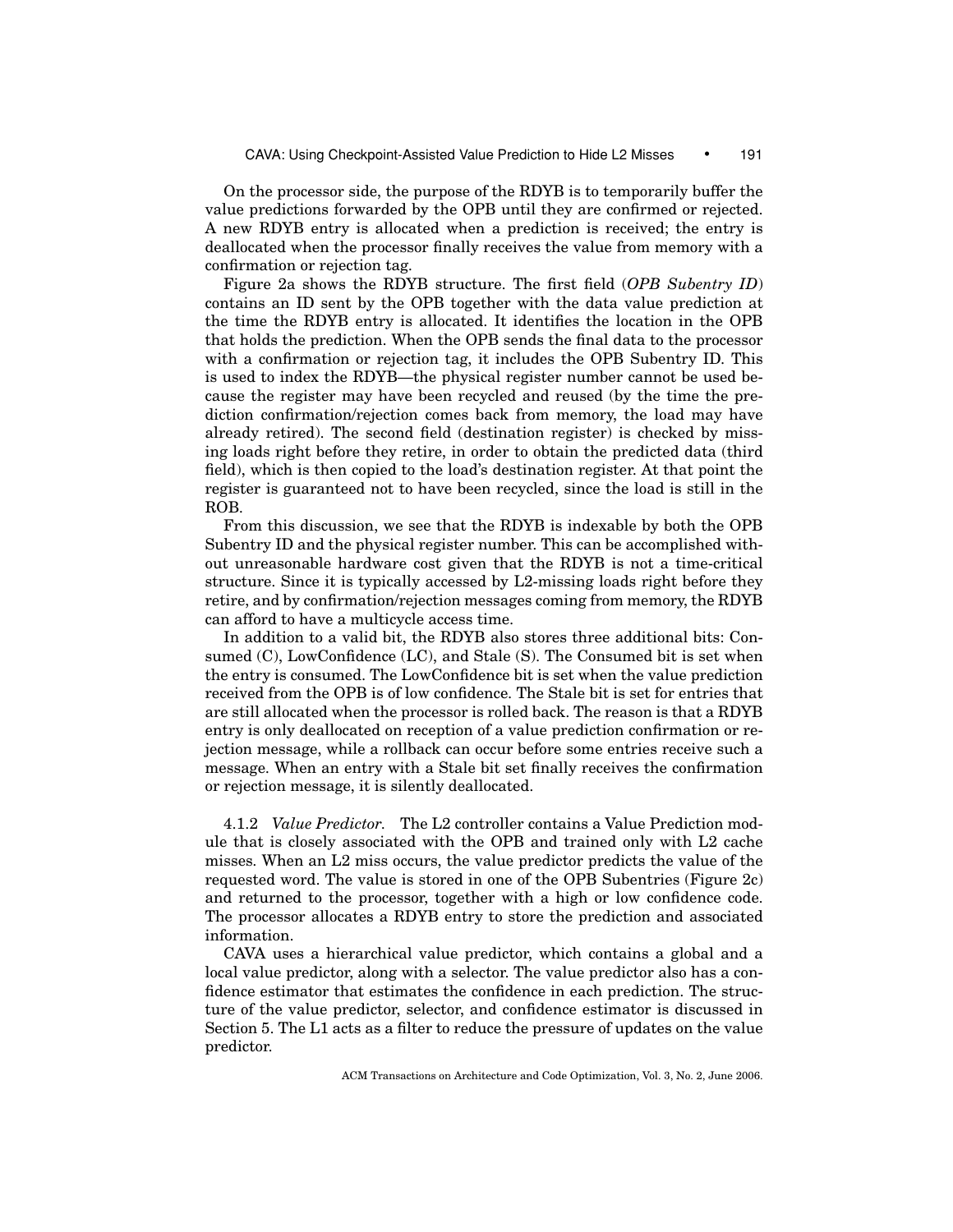On the processor side, the purpose of the RDYB is to temporarily buffer the value predictions forwarded by the OPB until they are confirmed or rejected. A new RDYB entry is allocated when a prediction is received; the entry is deallocated when the processor finally receives the value from memory with a confirmation or rejection tag.

Figure 2a shows the RDYB structure. The first field (*OPB Subentry ID*) contains an ID sent by the OPB together with the data value prediction at the time the RDYB entry is allocated. It identifies the location in the OPB that holds the prediction. When the OPB sends the final data to the processor with a confirmation or rejection tag, it includes the OPB Subentry ID. This is used to index the RDYB—the physical register number cannot be used because the register may have been recycled and reused (by the time the prediction confirmation/rejection comes back from memory, the load may have already retired). The second field (destination register) is checked by missing loads right before they retire, in order to obtain the predicted data (third field), which is then copied to the load's destination register. At that point the register is guaranteed not to have been recycled, since the load is still in the ROB.

From this discussion, we see that the RDYB is indexable by both the OPB Subentry ID and the physical register number. This can be accomplished without unreasonable hardware cost given that the RDYB is not a time-critical structure. Since it is typically accessed by L2-missing loads right before they retire, and by confirmation/rejection messages coming from memory, the RDYB can afford to have a multicycle access time.

In addition to a valid bit, the RDYB also stores three additional bits: Consumed (C), LowConfidence (LC), and Stale (S). The Consumed bit is set when the entry is consumed. The LowConfidence bit is set when the value prediction received from the OPB is of low confidence. The Stale bit is set for entries that are still allocated when the processor is rolled back. The reason is that a RDYB entry is only deallocated on reception of a value prediction confirmation or rejection message, while a rollback can occur before some entries receive such a message. When an entry with a Stale bit set finally receives the confirmation or rejection message, it is silently deallocated.

4.1.2 *Value Predictor.* The L2 controller contains a Value Prediction module that is closely associated with the OPB and trained only with L2 cache misses. When an L2 miss occurs, the value predictor predicts the value of the requested word. The value is stored in one of the OPB Subentries (Figure 2c) and returned to the processor, together with a high or low confidence code. The processor allocates a RDYB entry to store the prediction and associated information.

CAVA uses a hierarchical value predictor, which contains a global and a local value predictor, along with a selector. The value predictor also has a confidence estimator that estimates the confidence in each prediction. The structure of the value predictor, selector, and confidence estimator is discussed in Section 5. The L1 acts as a filter to reduce the pressure of updates on the value predictor.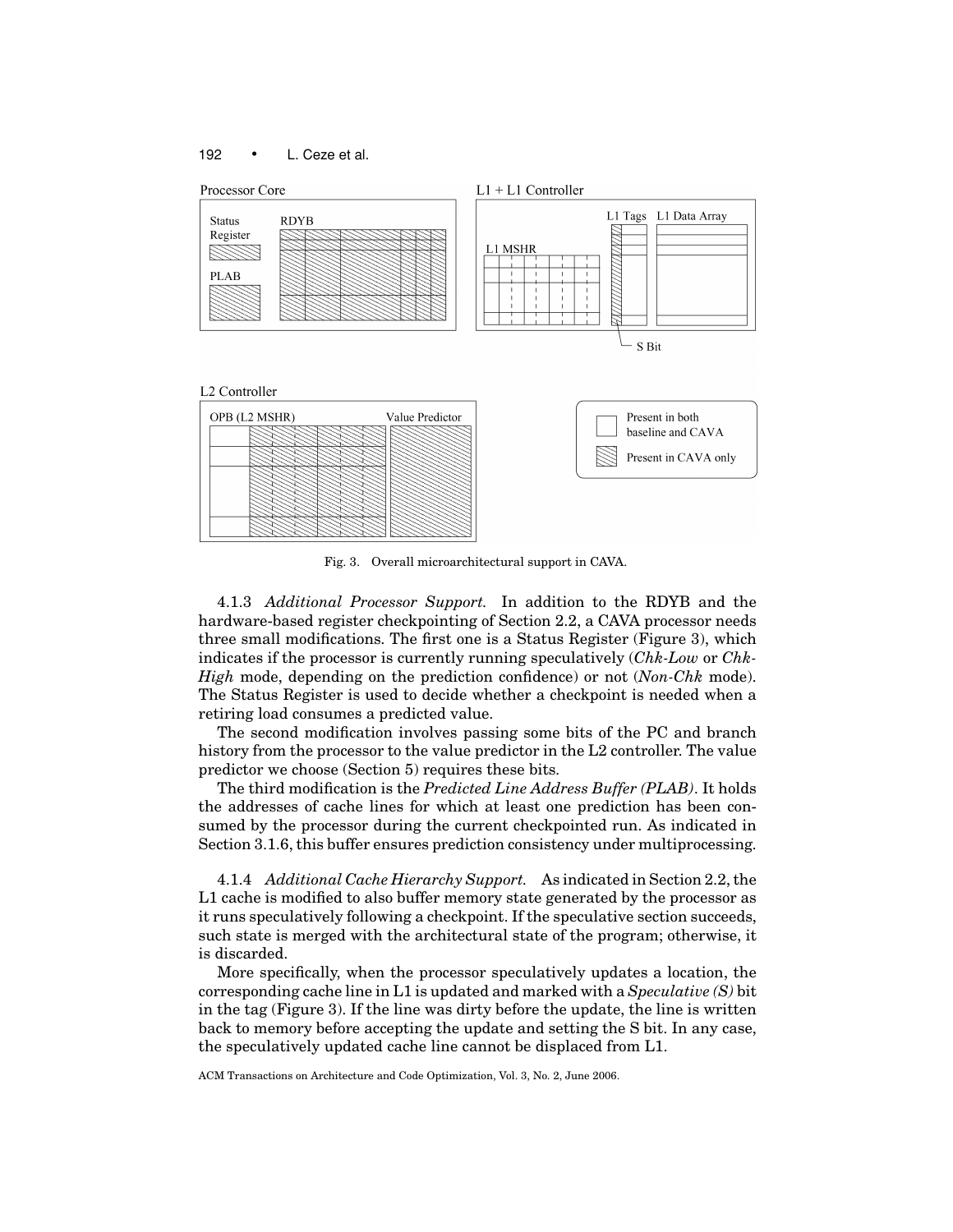

Fig. 3. Overall microarchitectural support in CAVA.

4.1.3 *Additional Processor Support.* In addition to the RDYB and the hardware-based register checkpointing of Section 2.2, a CAVA processor needs three small modifications. The first one is a Status Register (Figure 3), which indicates if the processor is currently running speculatively (*Chk-Low* or *Chk-High* mode, depending on the prediction confidence) or not (*Non-Chk* mode). The Status Register is used to decide whether a checkpoint is needed when a retiring load consumes a predicted value.

The second modification involves passing some bits of the PC and branch history from the processor to the value predictor in the L2 controller. The value predictor we choose (Section 5) requires these bits.

The third modification is the *Predicted Line Address Buffer (PLAB)*. It holds the addresses of cache lines for which at least one prediction has been consumed by the processor during the current checkpointed run. As indicated in Section 3.1.6, this buffer ensures prediction consistency under multiprocessing.

4.1.4 *Additional Cache Hierarchy Support.* As indicated in Section 2.2, the L1 cache is modified to also buffer memory state generated by the processor as it runs speculatively following a checkpoint. If the speculative section succeeds, such state is merged with the architectural state of the program; otherwise, it is discarded.

More specifically, when the processor speculatively updates a location, the corresponding cache line in L1 is updated and marked with a *Speculative (S)* bit in the tag (Figure 3). If the line was dirty before the update, the line is written back to memory before accepting the update and setting the S bit. In any case, the speculatively updated cache line cannot be displaced from L1.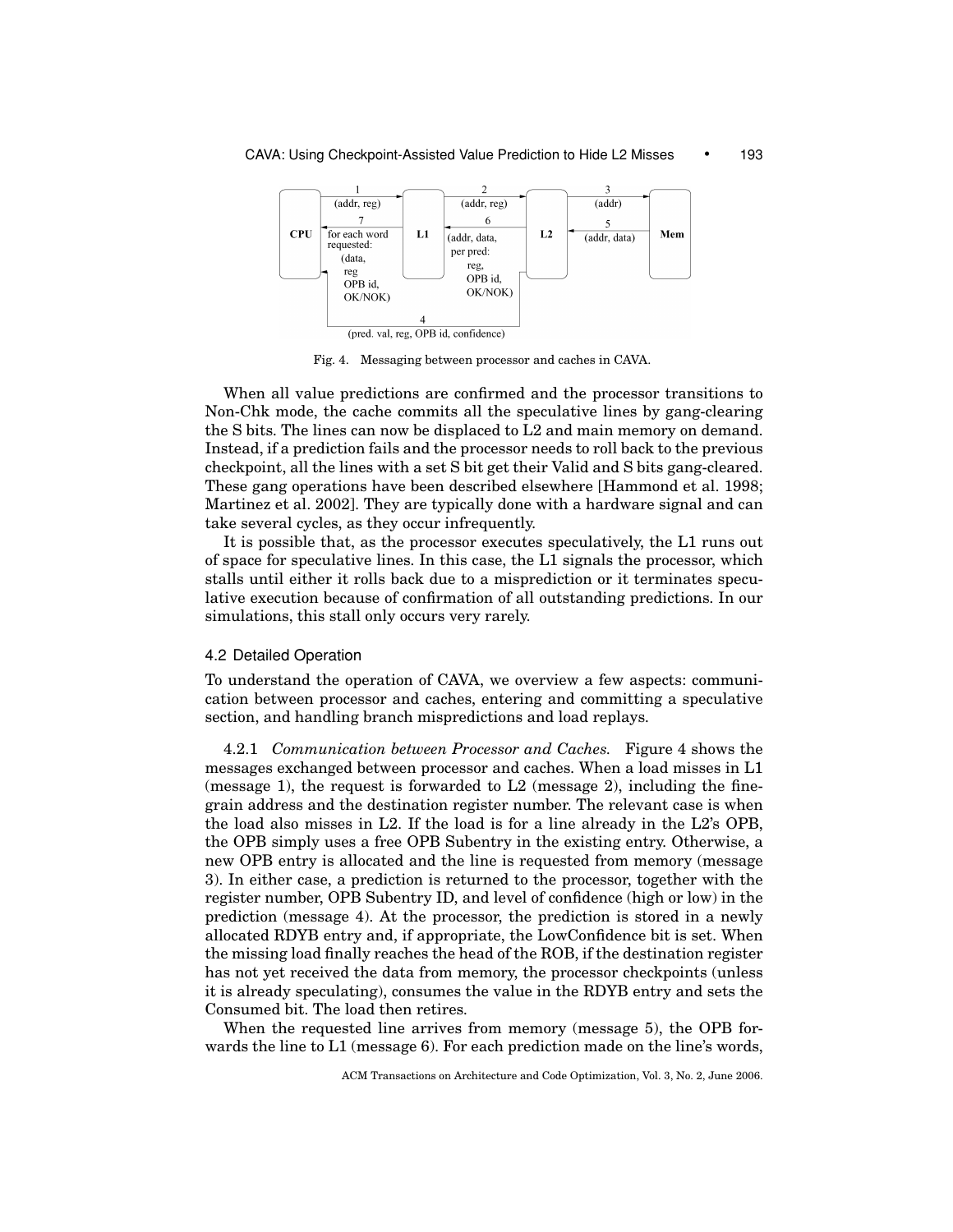

CAVA: Using Checkpoint-Assisted Value Prediction to Hide L2 Misses • 193

Fig. 4. Messaging between processor and caches in CAVA.

When all value predictions are confirmed and the processor transitions to Non-Chk mode, the cache commits all the speculative lines by gang-clearing the S bits. The lines can now be displaced to L2 and main memory on demand. Instead, if a prediction fails and the processor needs to roll back to the previous checkpoint, all the lines with a set S bit get their Valid and S bits gang-cleared. These gang operations have been described elsewhere [Hammond et al. 1998; Martinez et al. 2002]. They are typically done with a hardware signal and can take several cycles, as they occur infrequently.

It is possible that, as the processor executes speculatively, the L1 runs out of space for speculative lines. In this case, the L1 signals the processor, which stalls until either it rolls back due to a misprediction or it terminates speculative execution because of confirmation of all outstanding predictions. In our simulations, this stall only occurs very rarely.

#### 4.2 Detailed Operation

To understand the operation of CAVA, we overview a few aspects: communication between processor and caches, entering and committing a speculative section, and handling branch mispredictions and load replays.

4.2.1 *Communication between Processor and Caches.* Figure 4 shows the messages exchanged between processor and caches. When a load misses in L1 (message 1), the request is forwarded to L2 (message 2), including the finegrain address and the destination register number. The relevant case is when the load also misses in L2. If the load is for a line already in the L2's OPB, the OPB simply uses a free OPB Subentry in the existing entry. Otherwise, a new OPB entry is allocated and the line is requested from memory (message 3). In either case, a prediction is returned to the processor, together with the register number, OPB Subentry ID, and level of confidence (high or low) in the prediction (message 4). At the processor, the prediction is stored in a newly allocated RDYB entry and, if appropriate, the LowConfidence bit is set. When the missing load finally reaches the head of the ROB, if the destination register has not yet received the data from memory, the processor checkpoints (unless it is already speculating), consumes the value in the RDYB entry and sets the Consumed bit. The load then retires.

When the requested line arrives from memory (message 5), the OPB forwards the line to L1 (message 6). For each prediction made on the line's words,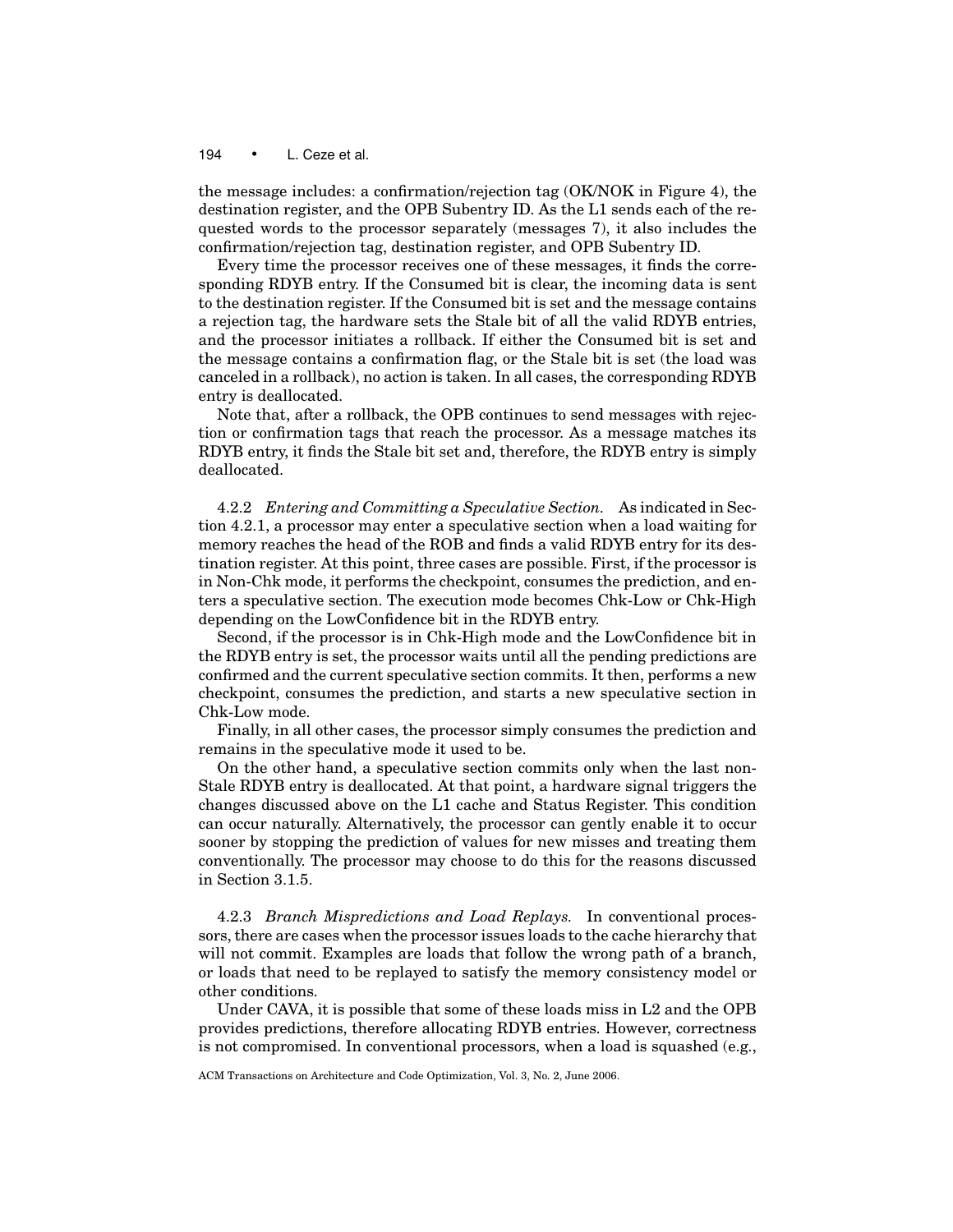the message includes: a confirmation/rejection tag (OK/NOK in Figure 4), the destination register, and the OPB Subentry ID. As the L1 sends each of the requested words to the processor separately (messages 7), it also includes the confirmation/rejection tag, destination register, and OPB Subentry ID.

Every time the processor receives one of these messages, it finds the corresponding RDYB entry. If the Consumed bit is clear, the incoming data is sent to the destination register. If the Consumed bit is set and the message contains a rejection tag, the hardware sets the Stale bit of all the valid RDYB entries, and the processor initiates a rollback. If either the Consumed bit is set and the message contains a confirmation flag, or the Stale bit is set (the load was canceled in a rollback), no action is taken. In all cases, the corresponding RDYB entry is deallocated.

Note that, after a rollback, the OPB continues to send messages with rejection or confirmation tags that reach the processor. As a message matches its RDYB entry, it finds the Stale bit set and, therefore, the RDYB entry is simply deallocated.

4.2.2 *Entering and Committing a Speculative Section.* As indicated in Section 4.2.1, a processor may enter a speculative section when a load waiting for memory reaches the head of the ROB and finds a valid RDYB entry for its destination register. At this point, three cases are possible. First, if the processor is in Non-Chk mode, it performs the checkpoint, consumes the prediction, and enters a speculative section. The execution mode becomes Chk-Low or Chk-High depending on the LowConfidence bit in the RDYB entry.

Second, if the processor is in Chk-High mode and the LowConfidence bit in the RDYB entry is set, the processor waits until all the pending predictions are confirmed and the current speculative section commits. It then, performs a new checkpoint, consumes the prediction, and starts a new speculative section in Chk-Low mode.

Finally, in all other cases, the processor simply consumes the prediction and remains in the speculative mode it used to be.

On the other hand, a speculative section commits only when the last non-Stale RDYB entry is deallocated. At that point, a hardware signal triggers the changes discussed above on the L1 cache and Status Register. This condition can occur naturally. Alternatively, the processor can gently enable it to occur sooner by stopping the prediction of values for new misses and treating them conventionally. The processor may choose to do this for the reasons discussed in Section 3.1.5.

4.2.3 *Branch Mispredictions and Load Replays.* In conventional processors, there are cases when the processor issues loads to the cache hierarchy that will not commit. Examples are loads that follow the wrong path of a branch, or loads that need to be replayed to satisfy the memory consistency model or other conditions.

Under CAVA, it is possible that some of these loads miss in L2 and the OPB provides predictions, therefore allocating RDYB entries. However, correctness is not compromised. In conventional processors, when a load is squashed (e.g.,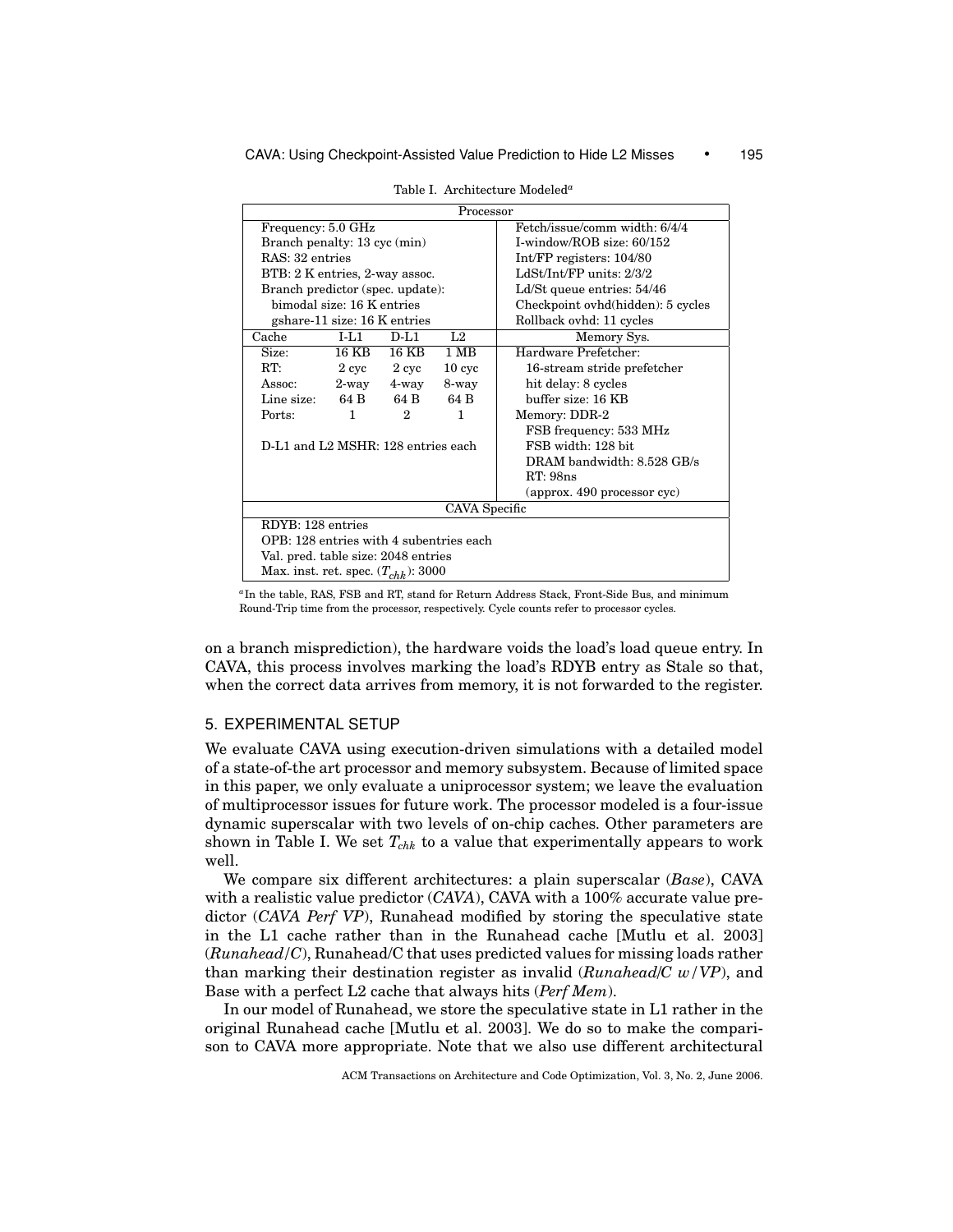| Processor                                |                                 |                   |                               |                                   |  |  |  |  |
|------------------------------------------|---------------------------------|-------------------|-------------------------------|-----------------------------------|--|--|--|--|
| Frequency: 5.0 GHz                       |                                 |                   | Fetch/issue/comm width: 6/4/4 |                                   |  |  |  |  |
| Branch penalty: 13 cyc (min)             |                                 |                   | I-window/ROB size: 60/152     |                                   |  |  |  |  |
| RAS: 32 entries                          |                                 |                   | Int/FP registers: $104/80$    |                                   |  |  |  |  |
| BTB: 2 K entries, 2-way assoc.           |                                 |                   | LdSt/Int/FP units: $2/3/2$    |                                   |  |  |  |  |
| Branch predictor (spec. update):         |                                 |                   |                               | Ld/St queue entries: $54/46$      |  |  |  |  |
|                                          | bimodal size: 16 K entries      |                   |                               | Checkpoint ovhd(hidden): 5 cycles |  |  |  |  |
|                                          | gshare-11 size: 16 K entries    |                   |                               | Rollback ovhd: 11 cycles          |  |  |  |  |
| Cache                                    | $L_{L1}$                        | $D-I.1$           | L <sub>2</sub>                | Memory Sys.                       |  |  |  |  |
| Size:                                    | 16 KB                           | 16 KB             | 1 MB                          | Hardware Prefetcher:              |  |  |  |  |
| RT:                                      | 2 cyc                           | 2 cyc             | 10 <sub>cyc</sub>             | 16-stream stride prefetcher       |  |  |  |  |
| Assoc:                                   | $2$ -way                        | $4$ -way          | 8-way                         | hit delay: 8 cycles               |  |  |  |  |
|                                          | Line size: 64 B<br>64 B<br>64 B |                   |                               | buffer size: 16 KB                |  |  |  |  |
| Ports:                                   | 1                               | $\mathcal{D}_{1}$ | 1                             | Memory: DDR-2                     |  |  |  |  |
|                                          |                                 |                   | FSB frequency: 533 MHz        |                                   |  |  |  |  |
| D-L1 and L2 MSHR: 128 entries each       |                                 |                   | FSB width: 128 bit            |                                   |  |  |  |  |
|                                          |                                 |                   | DRAM bandwidth: 8.528 GB/s    |                                   |  |  |  |  |
|                                          |                                 |                   | RT: 98ns                      |                                   |  |  |  |  |
|                                          |                                 |                   | (approx. 490 processor cyc)   |                                   |  |  |  |  |
| <b>CAVA</b> Specific                     |                                 |                   |                               |                                   |  |  |  |  |
| RDYB: 128 entries                        |                                 |                   |                               |                                   |  |  |  |  |
| OPB: 128 entries with 4 subentries each  |                                 |                   |                               |                                   |  |  |  |  |
| Val. pred. table size: 2048 entries      |                                 |                   |                               |                                   |  |  |  |  |
| Max. inst. ret. spec. $(T_{chb})$ : 3000 |                                 |                   |                               |                                   |  |  |  |  |

Table I. Architecture Modeled*<sup>a</sup>*

*<sup>a</sup>*In the table, RAS, FSB and RT, stand for Return Address Stack, Front-Side Bus, and minimum Round-Trip time from the processor, respectively. Cycle counts refer to processor cycles.

on a branch misprediction), the hardware voids the load's load queue entry. In CAVA, this process involves marking the load's RDYB entry as Stale so that, when the correct data arrives from memory, it is not forwarded to the register.

#### 5. EXPERIMENTAL SETUP

We evaluate CAVA using execution-driven simulations with a detailed model of a state-of-the art processor and memory subsystem. Because of limited space in this paper, we only evaluate a uniprocessor system; we leave the evaluation of multiprocessor issues for future work. The processor modeled is a four-issue dynamic superscalar with two levels of on-chip caches. Other parameters are shown in Table I. We set  $T_{chk}$  to a value that experimentally appears to work well.

We compare six different architectures: a plain superscalar (*Base*), CAVA with a realistic value predictor (*CAVA*), CAVA with a 100% accurate value predictor (*CAVA Perf VP*), Runahead modified by storing the speculative state in the L1 cache rather than in the Runahead cache [Mutlu et al. 2003] (*Runahead/C*), Runahead/C that uses predicted values for missing loads rather than marking their destination register as invalid (*Runahead/C w/VP*), and Base with a perfect L2 cache that always hits (*Perf Mem*).

In our model of Runahead, we store the speculative state in L1 rather in the original Runahead cache [Mutlu et al. 2003]. We do so to make the comparison to CAVA more appropriate. Note that we also use different architectural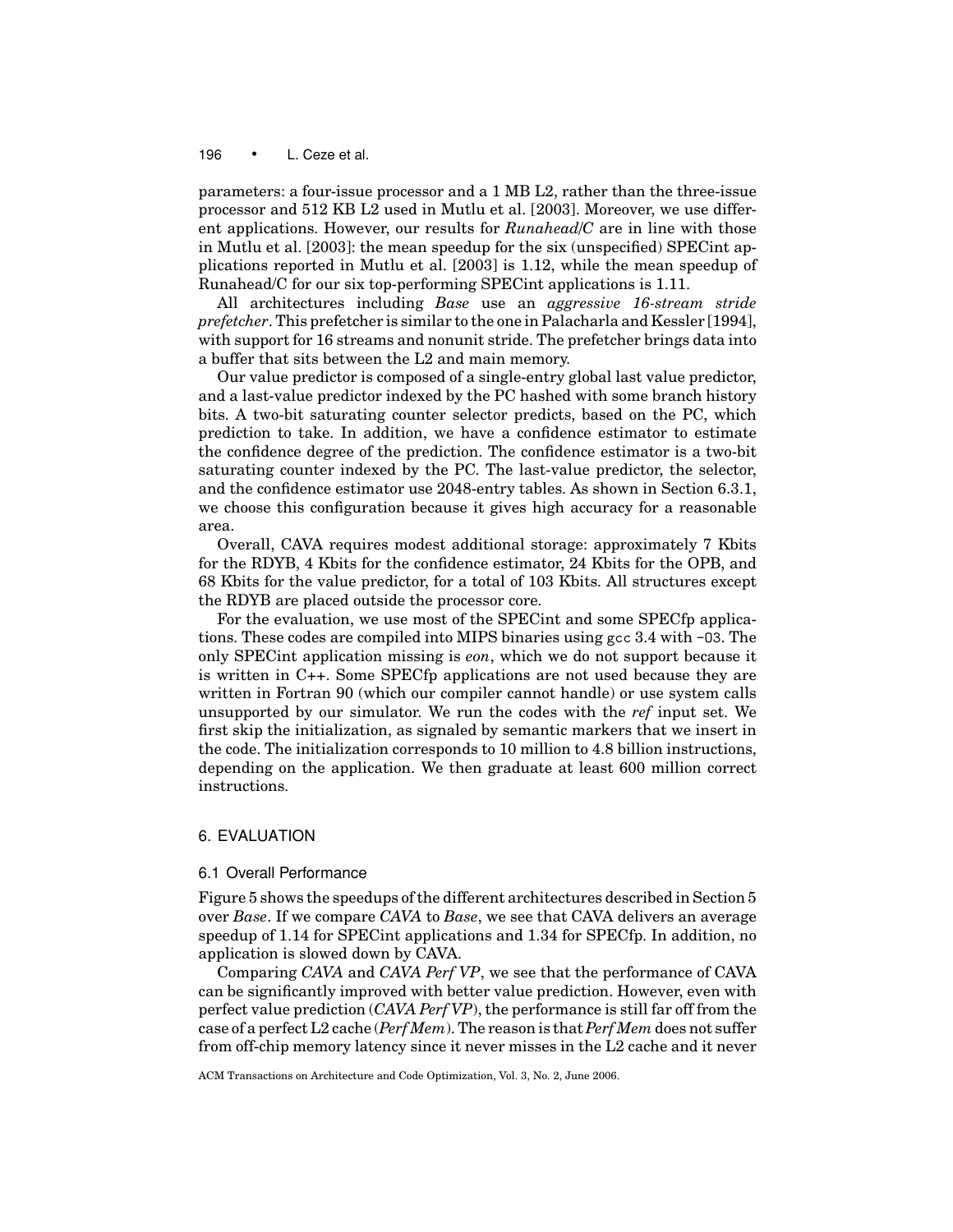parameters: a four-issue processor and a 1 MB L2, rather than the three-issue processor and 512 KB L2 used in Mutlu et al. [2003]. Moreover, we use different applications. However, our results for *Runahead/C* are in line with those in Mutlu et al. [2003]: the mean speedup for the six (unspecified) SPECint applications reported in Mutlu et al. [2003] is 1.12, while the mean speedup of Runahead/C for our six top-performing SPECint applications is 1.11.

All architectures including *Base* use an *aggressive 16-stream stride prefetcher*. This prefetcher is similar to the one in Palacharla and Kessler [1994], with support for 16 streams and nonunit stride. The prefetcher brings data into a buffer that sits between the L2 and main memory.

Our value predictor is composed of a single-entry global last value predictor, and a last-value predictor indexed by the PC hashed with some branch history bits. A two-bit saturating counter selector predicts, based on the PC, which prediction to take. In addition, we have a confidence estimator to estimate the confidence degree of the prediction. The confidence estimator is a two-bit saturating counter indexed by the PC. The last-value predictor, the selector, and the confidence estimator use 2048-entry tables. As shown in Section 6.3.1, we choose this configuration because it gives high accuracy for a reasonable area.

Overall, CAVA requires modest additional storage: approximately 7 Kbits for the RDYB, 4 Kbits for the confidence estimator, 24 Kbits for the OPB, and 68 Kbits for the value predictor, for a total of 103 Kbits. All structures except the RDYB are placed outside the processor core.

For the evaluation, we use most of the SPECint and some SPECfp applications. These codes are compiled into MIPS binaries using gcc 3.4 with -O3. The only SPECint application missing is *eon*, which we do not support because it is written in C++. Some SPECfp applications are not used because they are written in Fortran 90 (which our compiler cannot handle) or use system calls unsupported by our simulator. We run the codes with the *ref* input set. We first skip the initialization, as signaled by semantic markers that we insert in the code. The initialization corresponds to 10 million to 4.8 billion instructions, depending on the application. We then graduate at least 600 million correct instructions.

#### 6. EVALUATION

#### 6.1 Overall Performance

Figure 5 shows the speedups of the different architectures described in Section 5 over *Base*. If we compare *CAVA* to *Base*, we see that CAVA delivers an average speedup of 1.14 for SPECint applications and 1.34 for SPECfp. In addition, no application is slowed down by CAVA.

Comparing *CAVA* and *CAVA Perf VP*, we see that the performance of CAVA can be significantly improved with better value prediction. However, even with perfect value prediction (*CAVA Perf VP*), the performance is still far off from the case of a perfect L2 cache (*Perf Mem*). The reason is that *Perf Mem* does not suffer from off-chip memory latency since it never misses in the L2 cache and it never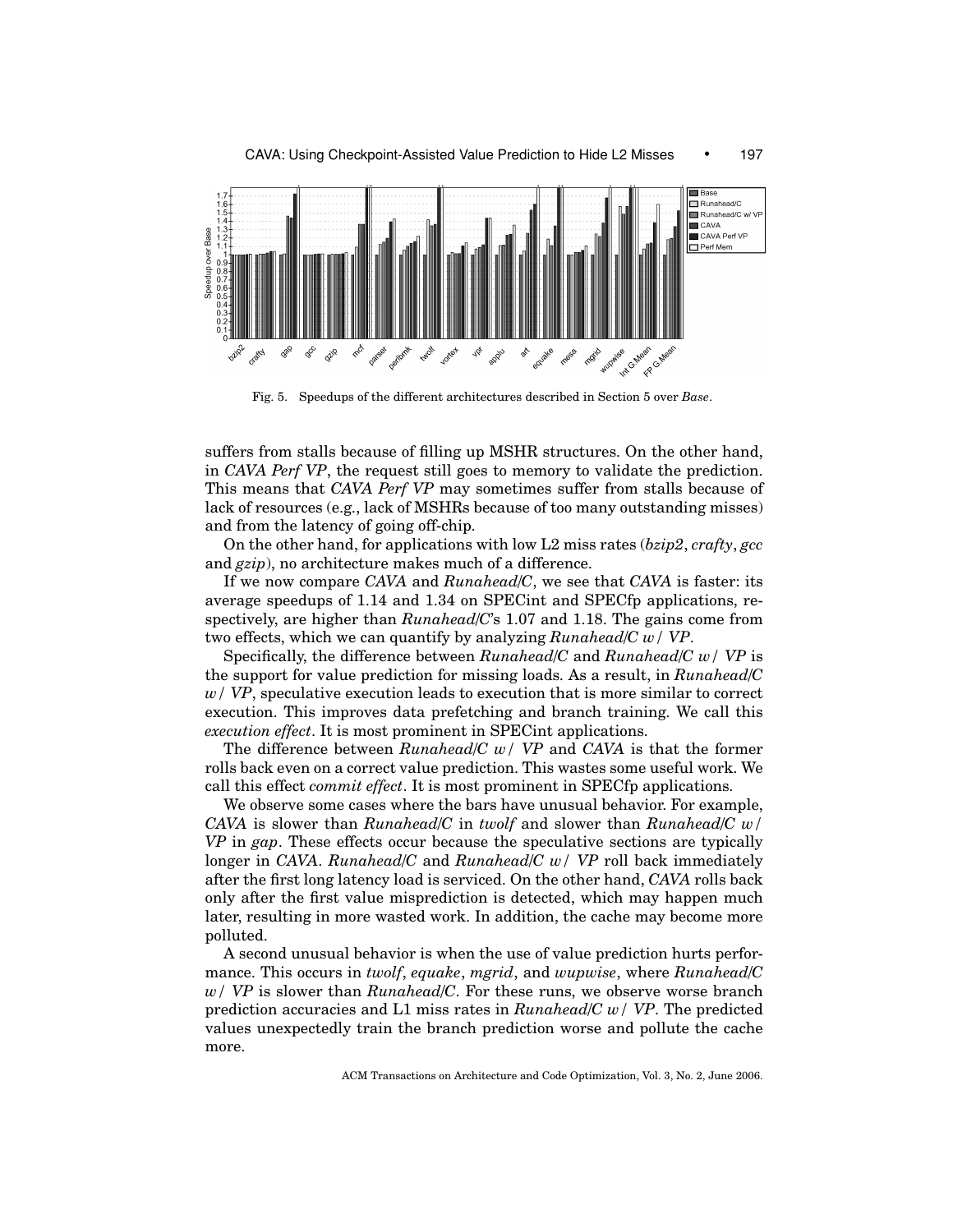

Fig. 5. Speedups of the different architectures described in Section 5 over *Base*.

suffers from stalls because of filling up MSHR structures. On the other hand, in *CAVA Perf VP*, the request still goes to memory to validate the prediction. This means that *CAVA Perf VP* may sometimes suffer from stalls because of lack of resources (e.g., lack of MSHRs because of too many outstanding misses) and from the latency of going off-chip.

On the other hand, for applications with low L2 miss rates (*bzip2*, *crafty*, *gcc* and *gzip*), no architecture makes much of a difference.

If we now compare *CAVA* and *Runahead/C*, we see that *CAVA* is faster: its average speedups of 1.14 and 1.34 on SPECint and SPECfp applications, respectively, are higher than *Runahead/C*'s 1.07 and 1.18. The gains come from two effects, which we can quantify by analyzing *Runahead/C w/ VP*.

Specifically, the difference between *Runahead/C* and *Runahead/C w/ VP* is the support for value prediction for missing loads. As a result, in *Runahead/C w/ VP*, speculative execution leads to execution that is more similar to correct execution. This improves data prefetching and branch training. We call this *execution effect*. It is most prominent in SPECint applications.

The difference between *Runahead/C w/ VP* and *CAVA* is that the former rolls back even on a correct value prediction. This wastes some useful work. We call this effect *commit effect*. It is most prominent in SPECfp applications.

We observe some cases where the bars have unusual behavior. For example, *CAVA* is slower than *Runahead/C* in *twolf* and slower than *Runahead/C w/ VP* in *gap*. These effects occur because the speculative sections are typically longer in *CAVA*. *Runahead/C* and *Runahead/C w/ VP* roll back immediately after the first long latency load is serviced. On the other hand, *CAVA* rolls back only after the first value misprediction is detected, which may happen much later, resulting in more wasted work. In addition, the cache may become more polluted.

A second unusual behavior is when the use of value prediction hurts performance. This occurs in *twolf*, *equake*, *mgrid*, and *wupwise*, where *Runahead/C w/ VP* is slower than *Runahead/C*. For these runs, we observe worse branch prediction accuracies and L1 miss rates in *Runahead/C w/ VP*. The predicted values unexpectedly train the branch prediction worse and pollute the cache more.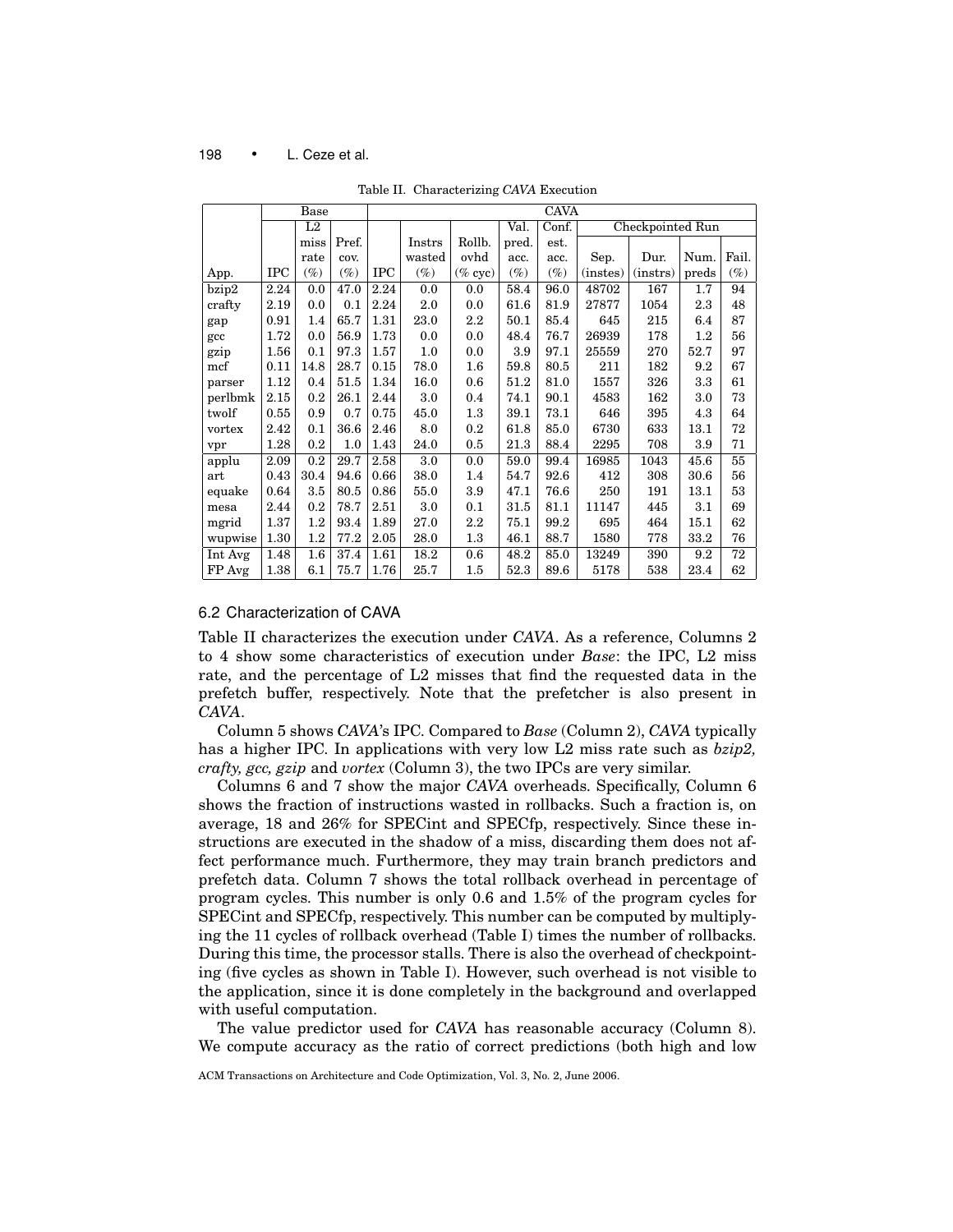|         | Base            |         |        | <b>CAVA</b> |         |            |        |                  |          |          |         |        |  |
|---------|-----------------|---------|--------|-------------|---------|------------|--------|------------------|----------|----------|---------|--------|--|
|         | $\overline{L2}$ |         |        |             |         | Val.       | Conf.  | Checkpointed Run |          |          |         |        |  |
|         |                 | miss    | Pref.  |             | Instrs  | Rollb.     | pred.  | est.             |          |          |         |        |  |
|         |                 | rate    | cov.   |             | wasted  | ovhd       | acc.   | acc.             | Sep.     | Dur.     | Num.    | Fail.  |  |
| App.    | <b>IPC</b>      | $(\%)$  | $(\%)$ | <b>IPC</b>  | $(\%)$  | $(\%$ cyc) | $(\%)$ | $(\%)$           | (instes) | (instrs) | preds   | $(\%)$ |  |
| bzip2   | 2.24            | 0.0     | 47.0   | 2.24        | 0.0     | 0.0        | 58.4   | 96.0             | 48702    | 167      | 1.7     | 94     |  |
| crafty  | 2.19            | 0.0     | 0.1    | 2.24        | 2.0     | 0.0        | 61.6   | 81.9             | 27877    | 1054     | 2.3     | 48     |  |
| gap     | 0.91            | 1.4     | 65.7   | 1.31        | 23.0    | $2.2\,$    | 50.1   | 85.4             | 645      | 215      | 6.4     | 87     |  |
| gcc     | 1.72            | 0.0     | 56.9   | 1.73        | 0.0     | 0.0        | 48.4   | 76.7             | 26939    | 178      | $1.2\,$ | 56     |  |
| gzip    | 1.56            | 0.1     | 97.3   | 1.57        | 1.0     | 0.0        | 3.9    | 97.1             | 25559    | 270      | 52.7    | 97     |  |
| mcf     | 0.11            | 14.8    | 28.7   | 0.15        | 78.0    | $1.6\,$    | 59.8   | 80.5             | 211      | 182      | 9.2     | 67     |  |
| parser  | 1.12            | 0.4     | 51.5   | 1.34        | 16.0    | 0.6        | 51.2   | 81.0             | 1557     | 326      | 3.3     | 61     |  |
| perlbmk | 2.15            | 0.2     | 26.1   | 2.44        | $3.0\,$ | 0.4        | 74.1   | 90.1             | 4583     | 162      | 3.0     | 73     |  |
| twolf   | 0.55            | 0.9     | 0.7    | 0.75        | 45.0    | $1.3\,$    | 39.1   | 73.1             | 646      | 395      | 4.3     | 64     |  |
| vortex  | 2.42            | 0.1     | 36.6   | 2.46        | 8.0     | 0.2        | 61.8   | 85.0             | 6730     | 633      | 13.1    | 72     |  |
| vpr     | 1.28            | 0.2     | 1.0    | 1.43        | 24.0    | 0.5        | 21.3   | 88.4             | 2295     | 708      | 3.9     | 71     |  |
| applu   | 2.09            | 0.2     | 29.7   | 2.58        | $3.0\,$ | 0.0        | 59.0   | 99.4             | 16985    | 1043     | 45.6    | 55     |  |
| art     | 0.43            | 30.4    | 94.6   | 0.66        | 38.0    | 1.4        | 54.7   | 92.6             | 412      | 308      | 30.6    | 56     |  |
| equake  | 0.64            | 3.5     | 80.5   | 0.86        | 55.0    | $3.9\,$    | 47.1   | 76.6             | 250      | 191      | 13.1    | 53     |  |
| mesa    | 2.44            | 0.2     | 78.7   | 2.51        | $3.0\,$ | 0.1        | 31.5   | 81.1             | 11147    | 445      | 3.1     | 69     |  |
| mgrid   | 1.37            | $1.2\,$ | 93.4   | 1.89        | 27.0    | $2.2\,$    | 75.1   | 99.2             | 695      | 464      | 15.1    | 62     |  |
| wupwise | 1.30            | $1.2\,$ | 77.2   | 2.05        | 28.0    | $1.3\,$    | 46.1   | 88.7             | 1580     | 778      | 33.2    | 76     |  |
| Int Avg | 1.48            | 1.6     | 37.4   | 1.61        | 18.2    | 0.6        | 48.2   | 85.0             | 13249    | 390      | 9.2     | 72     |  |
| FP Avg  | 1.38            | 6.1     | 75.7   | 1.76        | 25.7    | $1.5\,$    | 52.3   | 89.6             | 5178     | 538      | 23.4    | 62     |  |

Table II. Characterizing *CAVA* Execution

## 6.2 Characterization of CAVA

Table II characterizes the execution under *CAVA*. As a reference, Columns 2 to 4 show some characteristics of execution under *Base*: the IPC, L2 miss rate, and the percentage of L2 misses that find the requested data in the prefetch buffer, respectively. Note that the prefetcher is also present in *CAVA*.

Column 5 shows *CAVA*'s IPC. Compared to *Base* (Column 2), *CAVA* typically has a higher IPC. In applications with very low L2 miss rate such as *bzip2, crafty, gcc, gzip* and *vortex* (Column 3), the two IPCs are very similar.

Columns 6 and 7 show the major *CAVA* overheads. Specifically, Column 6 shows the fraction of instructions wasted in rollbacks. Such a fraction is, on average, 18 and 26% for SPECint and SPECfp, respectively. Since these instructions are executed in the shadow of a miss, discarding them does not affect performance much. Furthermore, they may train branch predictors and prefetch data. Column 7 shows the total rollback overhead in percentage of program cycles. This number is only 0.6 and 1.5% of the program cycles for SPECint and SPECfp, respectively. This number can be computed by multiplying the 11 cycles of rollback overhead (Table I) times the number of rollbacks. During this time, the processor stalls. There is also the overhead of checkpointing (five cycles as shown in Table I). However, such overhead is not visible to the application, since it is done completely in the background and overlapped with useful computation.

The value predictor used for *CAVA* has reasonable accuracy (Column 8). We compute accuracy as the ratio of correct predictions (both high and low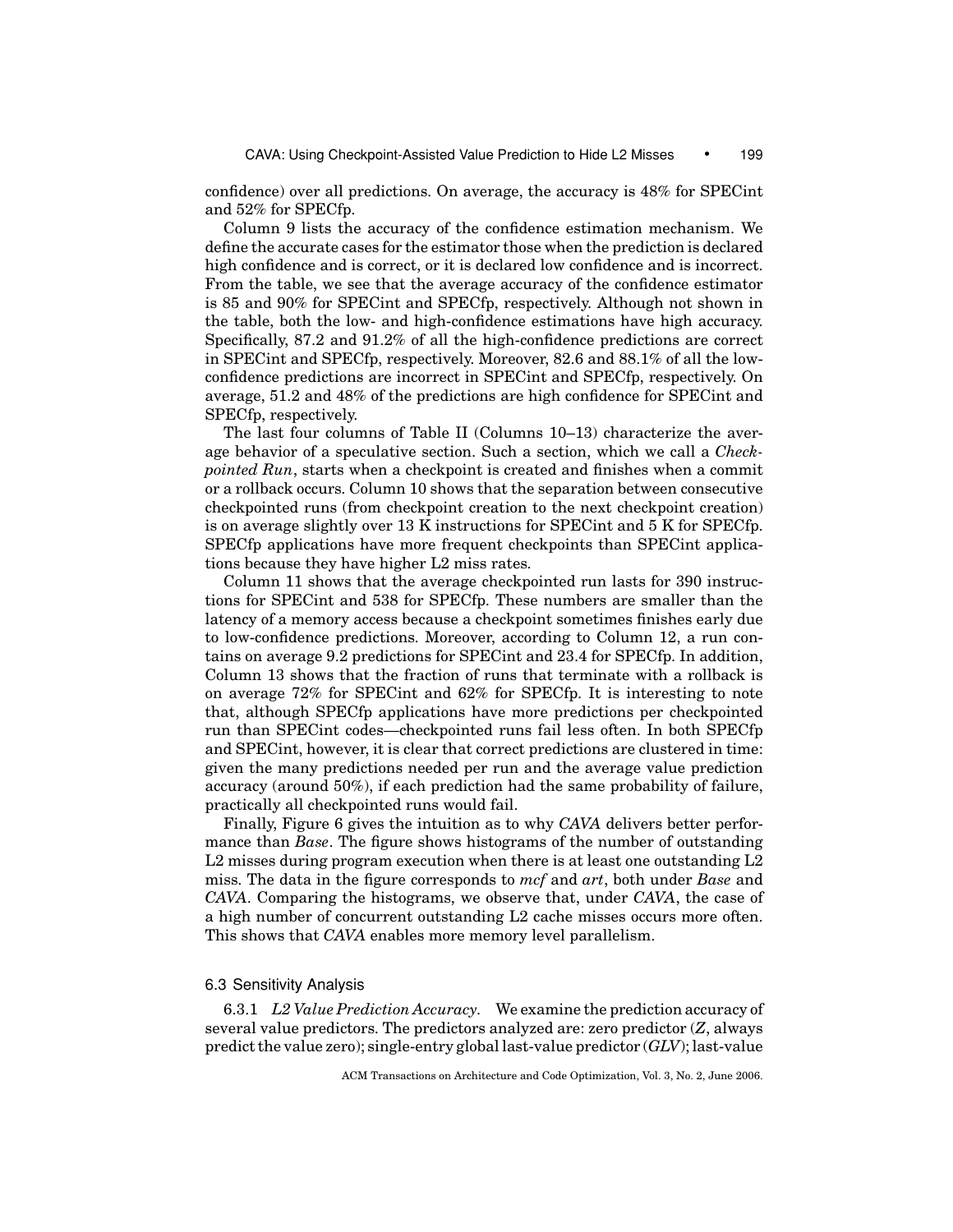confidence) over all predictions. On average, the accuracy is 48% for SPECint and 52% for SPECfp.

Column 9 lists the accuracy of the confidence estimation mechanism. We define the accurate cases for the estimator those when the prediction is declared high confidence and is correct, or it is declared low confidence and is incorrect. From the table, we see that the average accuracy of the confidence estimator is 85 and 90% for SPECint and SPECfp, respectively. Although not shown in the table, both the low- and high-confidence estimations have high accuracy. Specifically, 87.2 and 91.2% of all the high-confidence predictions are correct in SPECint and SPECfp, respectively. Moreover, 82.6 and 88.1% of all the lowconfidence predictions are incorrect in SPECint and SPECfp, respectively. On average, 51.2 and 48% of the predictions are high confidence for SPECint and SPECfp, respectively.

The last four columns of Table II (Columns 10–13) characterize the average behavior of a speculative section. Such a section, which we call a *Checkpointed Run*, starts when a checkpoint is created and finishes when a commit or a rollback occurs. Column 10 shows that the separation between consecutive checkpointed runs (from checkpoint creation to the next checkpoint creation) is on average slightly over 13 K instructions for SPECint and 5 K for SPECfp. SPECfp applications have more frequent checkpoints than SPECint applications because they have higher L2 miss rates.

Column 11 shows that the average checkpointed run lasts for 390 instructions for SPECint and 538 for SPECfp. These numbers are smaller than the latency of a memory access because a checkpoint sometimes finishes early due to low-confidence predictions. Moreover, according to Column 12, a run contains on average 9.2 predictions for SPECint and 23.4 for SPECfp. In addition, Column 13 shows that the fraction of runs that terminate with a rollback is on average 72% for SPECint and 62% for SPECfp. It is interesting to note that, although SPECfp applications have more predictions per checkpointed run than SPECint codes—checkpointed runs fail less often. In both SPECfp and SPECint, however, it is clear that correct predictions are clustered in time: given the many predictions needed per run and the average value prediction accuracy (around 50%), if each prediction had the same probability of failure, practically all checkpointed runs would fail.

Finally, Figure 6 gives the intuition as to why *CAVA* delivers better performance than *Base*. The figure shows histograms of the number of outstanding L2 misses during program execution when there is at least one outstanding L2 miss. The data in the figure corresponds to *mcf* and *art*, both under *Base* and *CAVA*. Comparing the histograms, we observe that, under *CAVA*, the case of a high number of concurrent outstanding L2 cache misses occurs more often. This shows that *CAVA* enables more memory level parallelism.

### 6.3 Sensitivity Analysis

6.3.1 *L2 Value Prediction Accuracy.* We examine the prediction accuracy of several value predictors. The predictors analyzed are: zero predictor (*Z*, always predict the value zero); single-entry global last-value predictor (*GLV*); last-value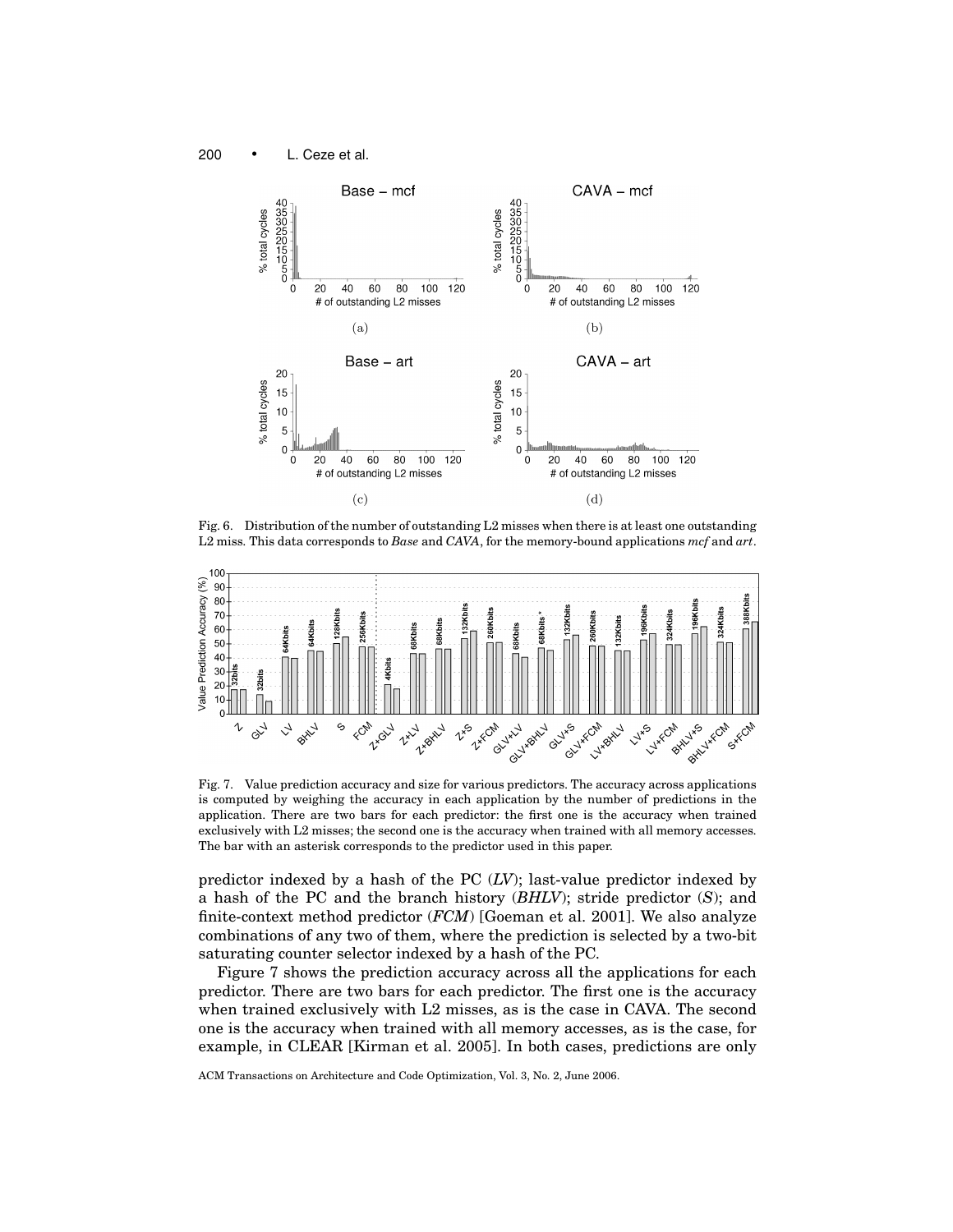

Fig. 6. Distribution of the number of outstanding L2 misses when there is at least one outstanding L2 miss. This data corresponds to *Base* and *CAVA*, for the memory-bound applications *mcf* and *art*.



Fig. 7. Value prediction accuracy and size for various predictors. The accuracy across applications is computed by weighing the accuracy in each application by the number of predictions in the application. There are two bars for each predictor: the first one is the accuracy when trained exclusively with L2 misses; the second one is the accuracy when trained with all memory accesses. The bar with an asterisk corresponds to the predictor used in this paper.

predictor indexed by a hash of the PC (*LV*); last-value predictor indexed by a hash of the PC and the branch history (*BHLV*); stride predictor (*S*); and finite-context method predictor (*FCM*) [Goeman et al. 2001]. We also analyze combinations of any two of them, where the prediction is selected by a two-bit saturating counter selector indexed by a hash of the PC.

Figure 7 shows the prediction accuracy across all the applications for each predictor. There are two bars for each predictor. The first one is the accuracy when trained exclusively with L2 misses, as is the case in CAVA. The second one is the accuracy when trained with all memory accesses, as is the case, for example, in CLEAR [Kirman et al. 2005]. In both cases, predictions are only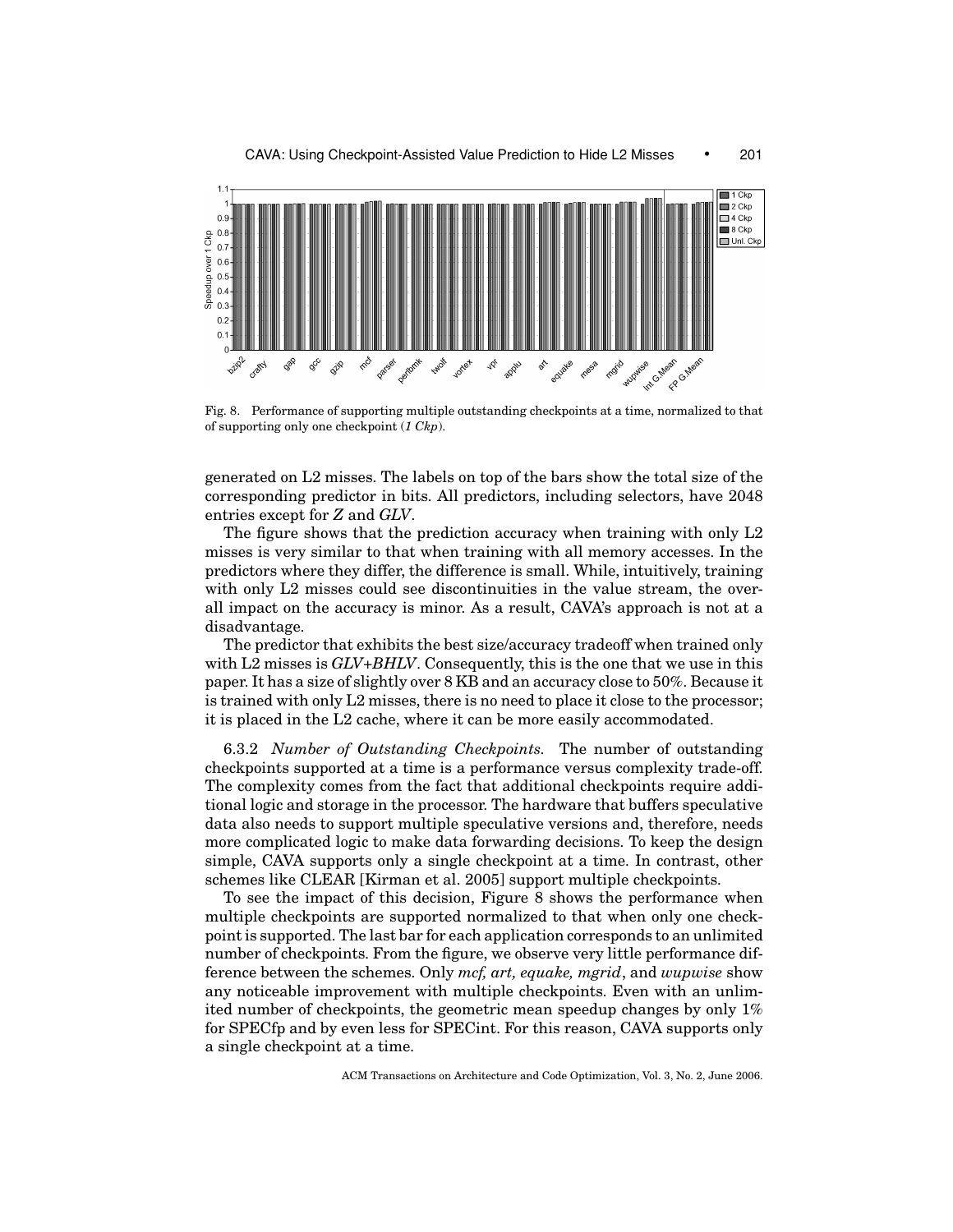

Fig. 8. Performance of supporting multiple outstanding checkpoints at a time, normalized to that of supporting only one checkpoint (*1 Ckp*).

generated on L2 misses. The labels on top of the bars show the total size of the corresponding predictor in bits. All predictors, including selectors, have 2048 entries except for *Z* and *GLV*.

The figure shows that the prediction accuracy when training with only L2 misses is very similar to that when training with all memory accesses. In the predictors where they differ, the difference is small. While, intuitively, training with only L2 misses could see discontinuities in the value stream, the overall impact on the accuracy is minor. As a result, CAVA's approach is not at a disadvantage.

The predictor that exhibits the best size/accuracy tradeoff when trained only with L<sub>2</sub> misses is *GLV+BHLV*. Consequently, this is the one that we use in this paper. It has a size of slightly over 8 KB and an accuracy close to 50%. Because it is trained with only L2 misses, there is no need to place it close to the processor; it is placed in the L2 cache, where it can be more easily accommodated.

6.3.2 *Number of Outstanding Checkpoints.* The number of outstanding checkpoints supported at a time is a performance versus complexity trade-off. The complexity comes from the fact that additional checkpoints require additional logic and storage in the processor. The hardware that buffers speculative data also needs to support multiple speculative versions and, therefore, needs more complicated logic to make data forwarding decisions. To keep the design simple, CAVA supports only a single checkpoint at a time. In contrast, other schemes like CLEAR [Kirman et al. 2005] support multiple checkpoints.

To see the impact of this decision, Figure 8 shows the performance when multiple checkpoints are supported normalized to that when only one checkpoint is supported. The last bar for each application corresponds to an unlimited number of checkpoints. From the figure, we observe very little performance difference between the schemes. Only *mcf, art, equake, mgrid*, and *wupwise* show any noticeable improvement with multiple checkpoints. Even with an unlimited number of checkpoints, the geometric mean speedup changes by only 1% for SPECfp and by even less for SPECint. For this reason, CAVA supports only a single checkpoint at a time.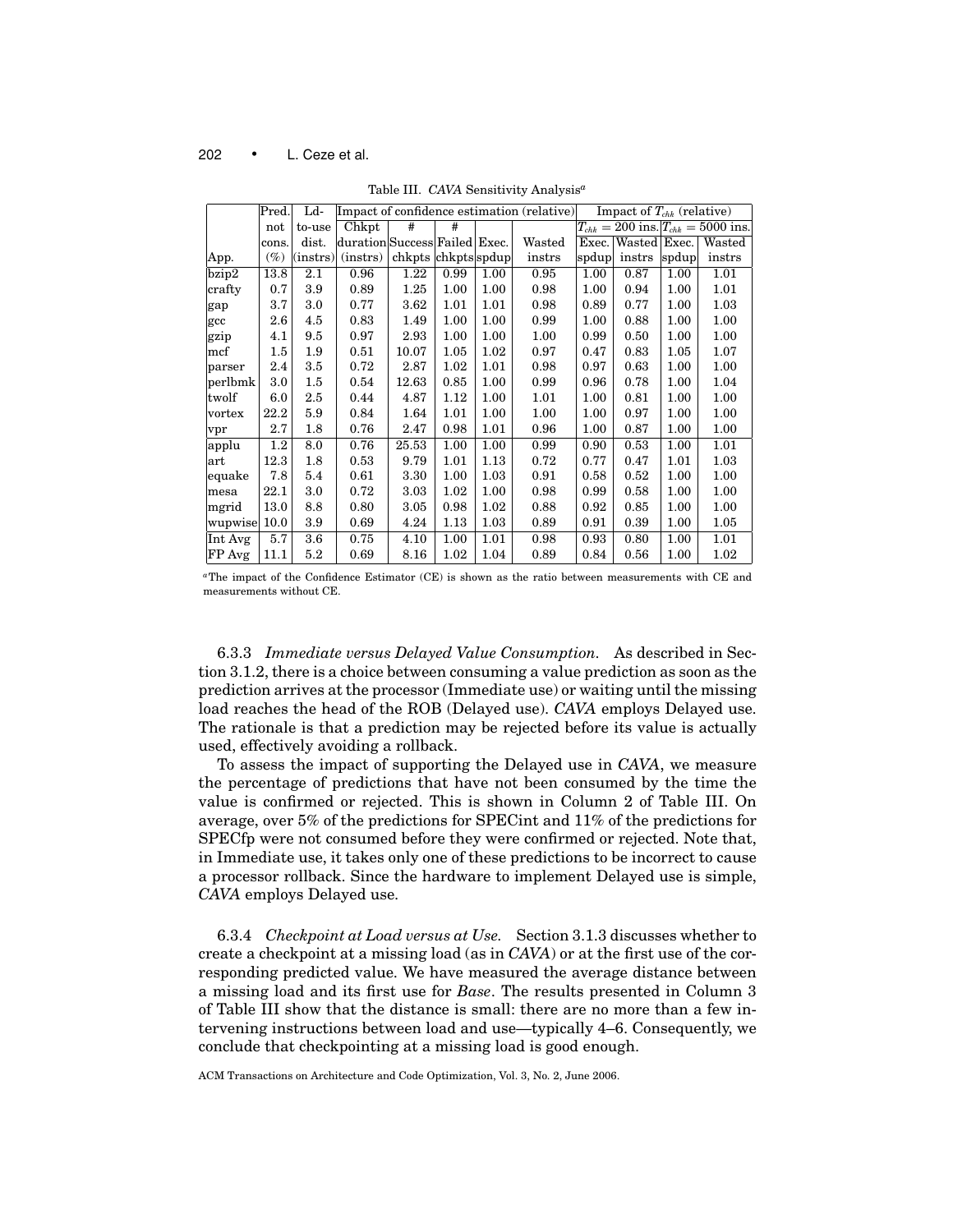|                           | $\rm Pred.$ | Ld-      | Impact of confidence estimation (relative) |                     |      |      |        | Impact of $T_{chk}$ (relative) |                    |                                            |        |
|---------------------------|-------------|----------|--------------------------------------------|---------------------|------|------|--------|--------------------------------|--------------------|--------------------------------------------|--------|
|                           | not         | to-use   | Chkpt                                      | #                   | #    |      |        |                                |                    | $T_{chk} = 200$ ins. $T_{chk} = 5000$ ins. |        |
|                           | cons.       | dist.    | duration Success Failed Exec.              |                     |      |      | Wasted |                                | Exec. Wasted Exec. |                                            | Wasted |
| App.                      | $(\%)$      | (instrs) | (instrs)                                   | chkpts chkpts spdup |      |      | instrs |                                | spdup instrs spdup |                                            | instrs |
| $\overline{\text{bzip2}}$ | 13.8        | 2.1      | 0.96                                       | 1.22                | 0.99 | 1.00 | 0.95   | 1.00                           | 0.87               | 1.00                                       | 1.01   |
| crafty                    | 0.7         | 3.9      | 0.89                                       | 1.25                | 1.00 | 1.00 | 0.98   | 1.00                           | 0.94               | 1.00                                       | 1.01   |
| gap                       | 3.7         | 3.0      | 0.77                                       | 3.62                | 1.01 | 1.01 | 0.98   | 0.89                           | 0.77               | 1.00                                       | 1.03   |
| gcc                       | $2.6\,$     | 4.5      | 0.83                                       | 1.49                | 1.00 | 1.00 | 0.99   | 1.00                           | 0.88               | 1.00                                       | 1.00   |
| gzip                      | 4.1         | 9.5      | 0.97                                       | 2.93                | 1.00 | 1.00 | 1.00   | 0.99                           | 0.50               | 1.00                                       | 1.00   |
| mcf                       | $1.5\,$     | 1.9      | 0.51                                       | 10.07               | 1.05 | 1.02 | 0.97   | 0.47                           | 0.83               | 1.05                                       | 1.07   |
| parser                    | 2.4         | $3.5\,$  | 0.72                                       | 2.87                | 1.02 | 1.01 | 0.98   | 0.97                           | 0.63               | 1.00                                       | 1.00   |
| perlbmk                   | $3.0\,$     | $1.5\,$  | 0.54                                       | 12.63               | 0.85 | 1.00 | 0.99   | 0.96                           | 0.78               | 1.00                                       | 1.04   |
| twolf                     | 6.0         | 2.5      | 0.44                                       | 4.87                | 1.12 | 1.00 | 1.01   | 1.00                           | 0.81               | 1.00                                       | 1.00   |
| vortex                    | 22.2        | 5.9      | 0.84                                       | 1.64                | 1.01 | 1.00 | 1.00   | 1.00                           | 0.97               | 1.00                                       | 1.00   |
| vpr                       | $2.7\,$     | 1.8      | 0.76                                       | 2.47                | 0.98 | 1.01 | 0.96   | 1.00                           | 0.87               | 1.00                                       | 1.00   |
| applu                     | $1.2\,$     | 8.0      | 0.76                                       | 25.53               | 1.00 | 1.00 | 0.99   | 0.90                           | 0.53               | 1.00                                       | 1.01   |
| art                       | 12.3        | 1.8      | 0.53                                       | 9.79                | 1.01 | 1.13 | 0.72   | 0.77                           | 0.47               | 1.01                                       | 1.03   |
| equake                    | 7.8         | 5.4      | 0.61                                       | 3.30                | 1.00 | 1.03 | 0.91   | 0.58                           | 0.52               | 1.00                                       | 1.00   |
| mesa                      | 22.1        | 3.0      | 0.72                                       | 3.03                | 1.02 | 1.00 | 0.98   | 0.99                           | 0.58               | 1.00                                       | 1.00   |
| mgrid                     | 13.0        | 8.8      | 0.80                                       | 3.05                | 0.98 | 1.02 | 0.88   | 0.92                           | 0.85               | 1.00                                       | 1.00   |
| wupwise 10.0              |             | 3.9      | 0.69                                       | 4.24                | 1.13 | 1.03 | 0.89   | 0.91                           | 0.39               | 1.00                                       | 1.05   |
| Int Avg                   | 5.7         | 3.6      | 0.75                                       | 4.10                | 1.00 | 1.01 | 0.98   | 0.93                           | 0.80               | 1.00                                       | 1.01   |
| FP Avg                    | 11.1        | 5.2      | 0.69                                       | 8.16                | 1.02 | 1.04 | 0.89   | 0.84                           | 0.56               | 1.00                                       | 1.02   |

Table III. *CAVA* Sensitivity Analysis*<sup>a</sup>*

*<sup>a</sup>*The impact of the Confidence Estimator (CE) is shown as the ratio between measurements with CE and measurements without CE.

6.3.3 *Immediate versus Delayed Value Consumption.* As described in Section 3.1.2, there is a choice between consuming a value prediction as soon as the prediction arrives at the processor (Immediate use) or waiting until the missing load reaches the head of the ROB (Delayed use). *CAVA* employs Delayed use. The rationale is that a prediction may be rejected before its value is actually used, effectively avoiding a rollback.

To assess the impact of supporting the Delayed use in *CAVA*, we measure the percentage of predictions that have not been consumed by the time the value is confirmed or rejected. This is shown in Column 2 of Table III. On average, over 5% of the predictions for SPECint and 11% of the predictions for SPECfp were not consumed before they were confirmed or rejected. Note that, in Immediate use, it takes only one of these predictions to be incorrect to cause a processor rollback. Since the hardware to implement Delayed use is simple, *CAVA* employs Delayed use.

6.3.4 *Checkpoint at Load versus at Use.* Section 3.1.3 discusses whether to create a checkpoint at a missing load (as in *CAVA*) or at the first use of the corresponding predicted value. We have measured the average distance between a missing load and its first use for *Base*. The results presented in Column 3 of Table III show that the distance is small: there are no more than a few intervening instructions between load and use—typically 4–6. Consequently, we conclude that checkpointing at a missing load is good enough.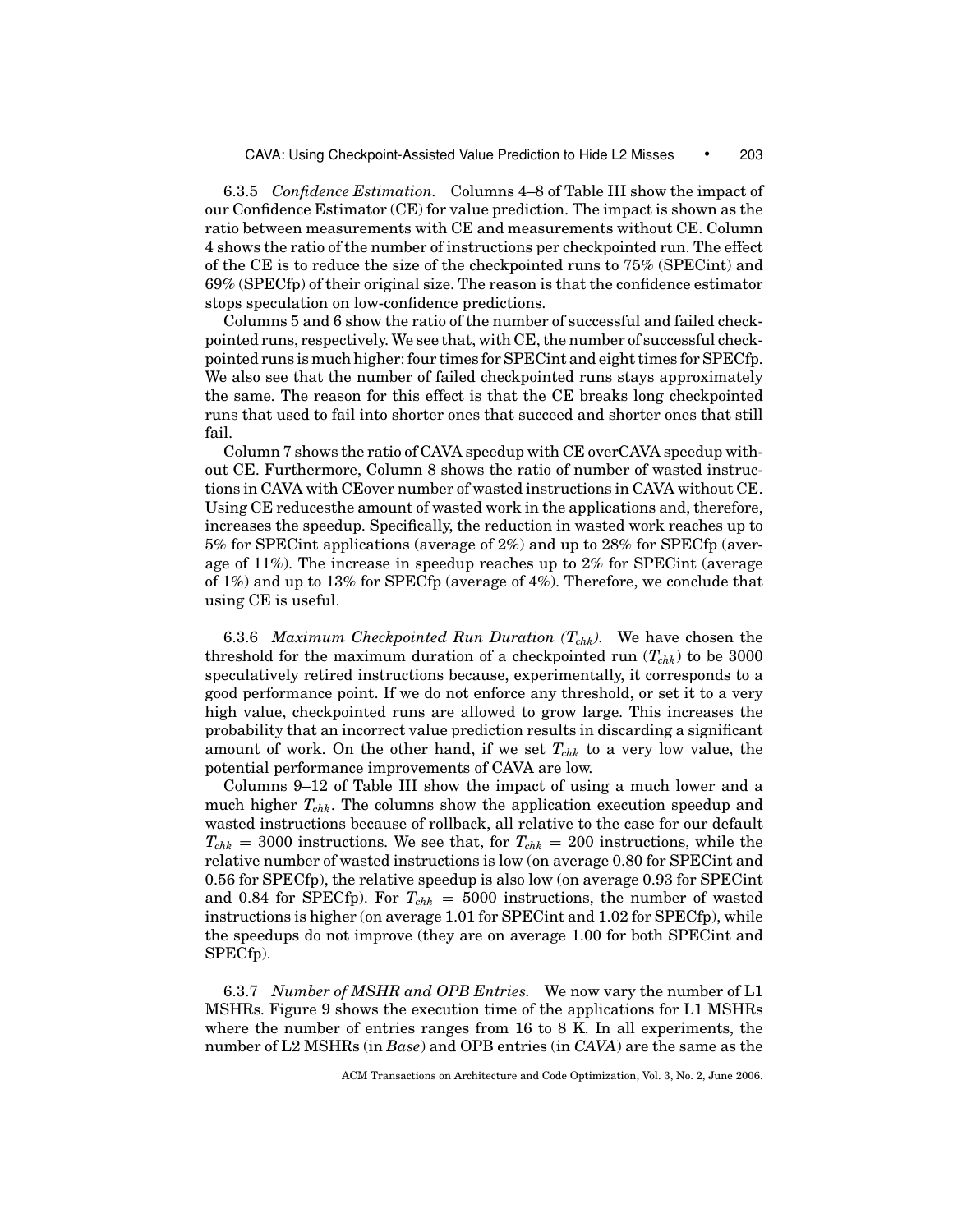6.3.5 *Confidence Estimation.* Columns 4–8 of Table III show the impact of our Confidence Estimator (CE) for value prediction. The impact is shown as the ratio between measurements with CE and measurements without CE. Column 4 shows the ratio of the number of instructions per checkpointed run. The effect of the CE is to reduce the size of the checkpointed runs to 75% (SPECint) and 69% (SPECfp) of their original size. The reason is that the confidence estimator stops speculation on low-confidence predictions.

Columns 5 and 6 show the ratio of the number of successful and failed checkpointed runs, respectively. We see that, with CE, the number of successful checkpointed runs is much higher: four times for SPECint and eight times for SPECfp. We also see that the number of failed checkpointed runs stays approximately the same. The reason for this effect is that the CE breaks long checkpointed runs that used to fail into shorter ones that succeed and shorter ones that still fail.

Column 7 shows the ratio of CAVA speedup with CE overCAVA speedup without CE. Furthermore, Column 8 shows the ratio of number of wasted instructions in CAVA with CEover number of wasted instructions in CAVA without CE. Using CE reducesthe amount of wasted work in the applications and, therefore, increases the speedup. Specifically, the reduction in wasted work reaches up to 5% for SPECint applications (average of 2%) and up to 28% for SPECfp (average of  $11\%$ ). The increase in speedup reaches up to  $2\%$  for SPECint (average of 1%) and up to 13% for SPECfp (average of 4%). Therefore, we conclude that using CE is useful.

6.3.6 *Maximum Checkpointed Run Duration*  $(T_{chk})$ . We have chosen the threshold for the maximum duration of a checkpointed run  $(T_{chk})$  to be 3000 speculatively retired instructions because, experimentally, it corresponds to a good performance point. If we do not enforce any threshold, or set it to a very high value, checkpointed runs are allowed to grow large. This increases the probability that an incorrect value prediction results in discarding a significant amount of work. On the other hand, if we set  $T_{chk}$  to a very low value, the potential performance improvements of CAVA are low.

Columns 9–12 of Table III show the impact of using a much lower and a much higher *Tchk*. The columns show the application execution speedup and wasted instructions because of rollback, all relative to the case for our default  $T_{chk} = 3000$  instructions. We see that, for  $T_{chk} = 200$  instructions, while the relative number of wasted instructions is low (on average 0.80 for SPECint and 0.56 for SPECfp), the relative speedup is also low (on average 0.93 for SPECint and 0.84 for SPECfp). For  $T_{chk} = 5000$  instructions, the number of wasted instructions is higher (on average 1.01 for SPECint and 1.02 for SPECfp), while the speedups do not improve (they are on average 1.00 for both SPECint and SPECfp).

6.3.7 *Number of MSHR and OPB Entries.* We now vary the number of L1 MSHRs. Figure 9 shows the execution time of the applications for L1 MSHRs where the number of entries ranges from 16 to 8 K. In all experiments, the number of L2 MSHRs (in *Base*) and OPB entries (in *CAVA*) are the same as the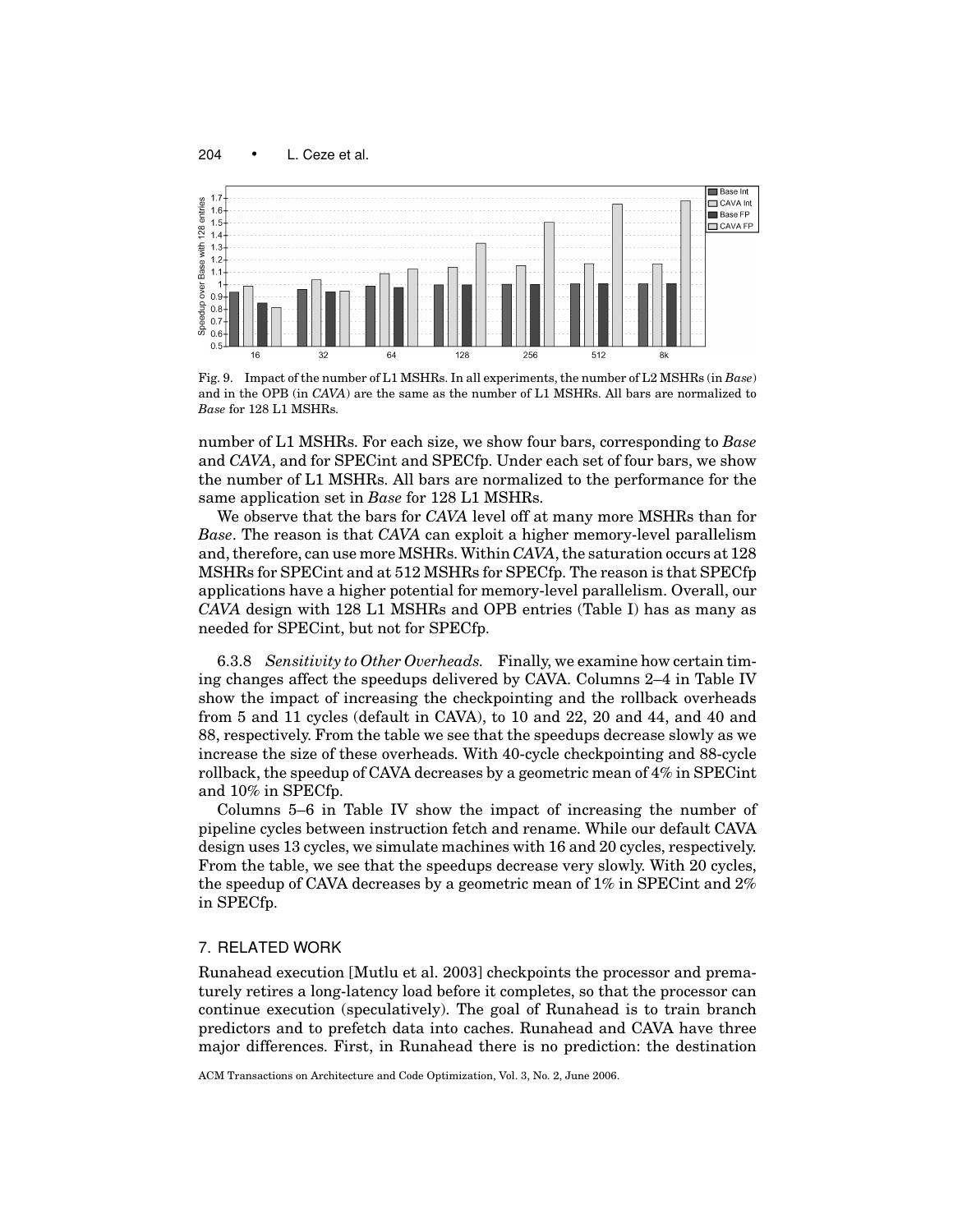

Fig. 9. Impact of the number of L1 MSHRs. In all experiments, the number of L2 MSHRs (in *Base*) and in the OPB (in *CAVA*) are the same as the number of L1 MSHRs. All bars are normalized to *Base* for 128 L1 MSHRs.

number of L1 MSHRs. For each size, we show four bars, corresponding to *Base* and *CAVA*, and for SPECint and SPECfp. Under each set of four bars, we show the number of L1 MSHRs. All bars are normalized to the performance for the same application set in *Base* for 128 L1 MSHRs.

We observe that the bars for *CAVA* level off at many more MSHRs than for *Base*. The reason is that *CAVA* can exploit a higher memory-level parallelism and, therefore, can use more MSHRs. Within *CAVA*, the saturation occurs at 128 MSHRs for SPECint and at 512 MSHRs for SPECfp. The reason is that SPECfp applications have a higher potential for memory-level parallelism. Overall, our *CAVA* design with 128 L1 MSHRs and OPB entries (Table I) has as many as needed for SPECint, but not for SPECfp.

6.3.8 *Sensitivity to Other Overheads.* Finally, we examine how certain timing changes affect the speedups delivered by CAVA. Columns 2–4 in Table IV show the impact of increasing the checkpointing and the rollback overheads from 5 and 11 cycles (default in CAVA), to 10 and 22, 20 and 44, and 40 and 88, respectively. From the table we see that the speedups decrease slowly as we increase the size of these overheads. With 40-cycle checkpointing and 88-cycle rollback, the speedup of CAVA decreases by a geometric mean of 4% in SPECint and 10% in SPECfp.

Columns 5–6 in Table IV show the impact of increasing the number of pipeline cycles between instruction fetch and rename. While our default CAVA design uses 13 cycles, we simulate machines with 16 and 20 cycles, respectively. From the table, we see that the speedups decrease very slowly. With 20 cycles, the speedup of CAVA decreases by a geometric mean of 1% in SPECint and 2% in SPECfp.

### 7. RELATED WORK

Runahead execution [Mutlu et al. 2003] checkpoints the processor and prematurely retires a long-latency load before it completes, so that the processor can continue execution (speculatively). The goal of Runahead is to train branch predictors and to prefetch data into caches. Runahead and CAVA have three major differences. First, in Runahead there is no prediction: the destination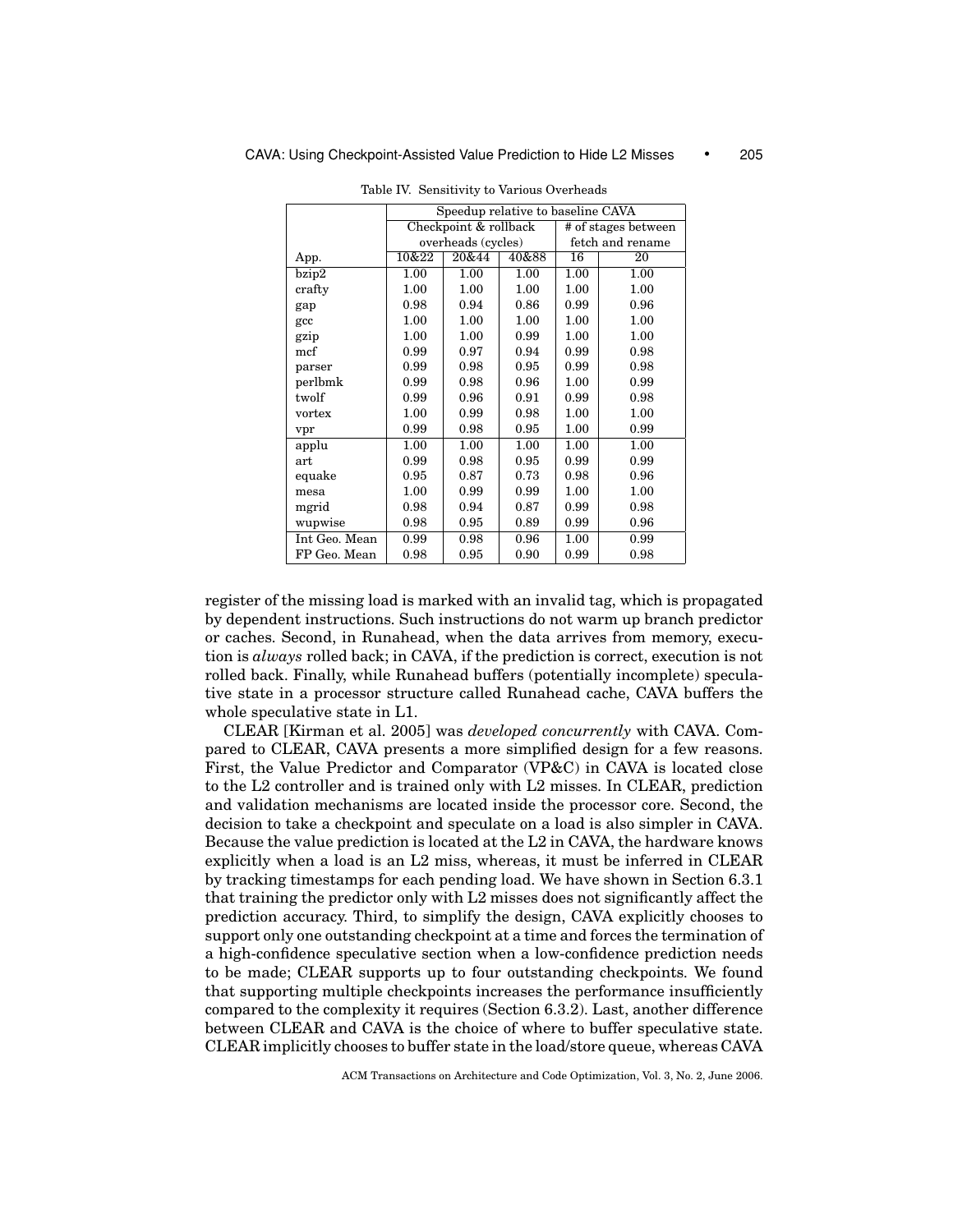|               | Speedup relative to baseline CAVA |                       |                     |      |      |  |  |  |  |
|---------------|-----------------------------------|-----------------------|---------------------|------|------|--|--|--|--|
|               |                                   | Checkpoint & rollback | # of stages between |      |      |  |  |  |  |
|               |                                   | overheads (cycles)    | fetch and rename    |      |      |  |  |  |  |
| App.          | 10&22                             | 20&44                 | 40&88               | 16   | 20   |  |  |  |  |
| bzip2         | 1.00                              | 1.00                  | 1.00                | 1.00 | 1.00 |  |  |  |  |
| crafty        | 1.00                              | 1.00                  | 1.00                | 1.00 | 1.00 |  |  |  |  |
| gap           | 0.98                              | 0.94                  | 0.86                | 0.99 | 0.96 |  |  |  |  |
| gcc           | 1.00                              | 1.00                  | 1.00                | 1.00 | 1.00 |  |  |  |  |
| gzip          | 1.00                              | 1.00                  | 0.99                | 1.00 | 1.00 |  |  |  |  |
| mcf           | 0.99                              | 0.97                  | 0.94                | 0.99 | 0.98 |  |  |  |  |
| parser        | 0.99                              | 0.98                  | 0.95                | 0.99 | 0.98 |  |  |  |  |
| perlbmk       | 0.99                              | 0.98                  | 0.96                | 1.00 | 0.99 |  |  |  |  |
| twolf         | 0.99                              | 0.96                  | 0.91                | 0.99 | 0.98 |  |  |  |  |
| vortex        | 1.00                              | 0.99                  | 0.98                | 1.00 | 1.00 |  |  |  |  |
| vpr           | 0.99                              | 0.98                  | 0.95                | 1.00 | 0.99 |  |  |  |  |
| applu         | 1.00                              | 1.00                  | 1.00                | 1.00 | 1.00 |  |  |  |  |
| art           | 0.99                              | 0.98                  | 0.95                | 0.99 | 0.99 |  |  |  |  |
| equake        | 0.95                              | 0.87                  | 0.73                | 0.98 | 0.96 |  |  |  |  |
| mesa          | 1.00                              | 0.99                  | 0.99                | 1.00 | 1.00 |  |  |  |  |
| mgrid         | 0.98                              | 0.94                  | 0.87                | 0.99 | 0.98 |  |  |  |  |
| wupwise       | 0.98                              | 0.95                  | 0.89                | 0.99 | 0.96 |  |  |  |  |
| Int Geo. Mean | 0.99                              | 0.98                  | 0.96                | 1.00 | 0.99 |  |  |  |  |
| FP Geo. Mean  | 0.98                              | 0.95                  | 0.90                | 0.99 | 0.98 |  |  |  |  |

Table IV. Sensitivity to Various Overheads

register of the missing load is marked with an invalid tag, which is propagated by dependent instructions. Such instructions do not warm up branch predictor or caches. Second, in Runahead, when the data arrives from memory, execution is *always* rolled back; in CAVA, if the prediction is correct, execution is not rolled back. Finally, while Runahead buffers (potentially incomplete) speculative state in a processor structure called Runahead cache, CAVA buffers the whole speculative state in L1.

CLEAR [Kirman et al. 2005] was *developed concurrently* with CAVA. Compared to CLEAR, CAVA presents a more simplified design for a few reasons. First, the Value Predictor and Comparator (VP&C) in CAVA is located close to the L2 controller and is trained only with L2 misses. In CLEAR, prediction and validation mechanisms are located inside the processor core. Second, the decision to take a checkpoint and speculate on a load is also simpler in CAVA. Because the value prediction is located at the L2 in CAVA, the hardware knows explicitly when a load is an L2 miss, whereas, it must be inferred in CLEAR by tracking timestamps for each pending load. We have shown in Section 6.3.1 that training the predictor only with L2 misses does not significantly affect the prediction accuracy. Third, to simplify the design, CAVA explicitly chooses to support only one outstanding checkpoint at a time and forces the termination of a high-confidence speculative section when a low-confidence prediction needs to be made; CLEAR supports up to four outstanding checkpoints. We found that supporting multiple checkpoints increases the performance insufficiently compared to the complexity it requires (Section 6.3.2). Last, another difference between CLEAR and CAVA is the choice of where to buffer speculative state. CLEAR implicitly chooses to buffer state in the load/store queue, whereas CAVA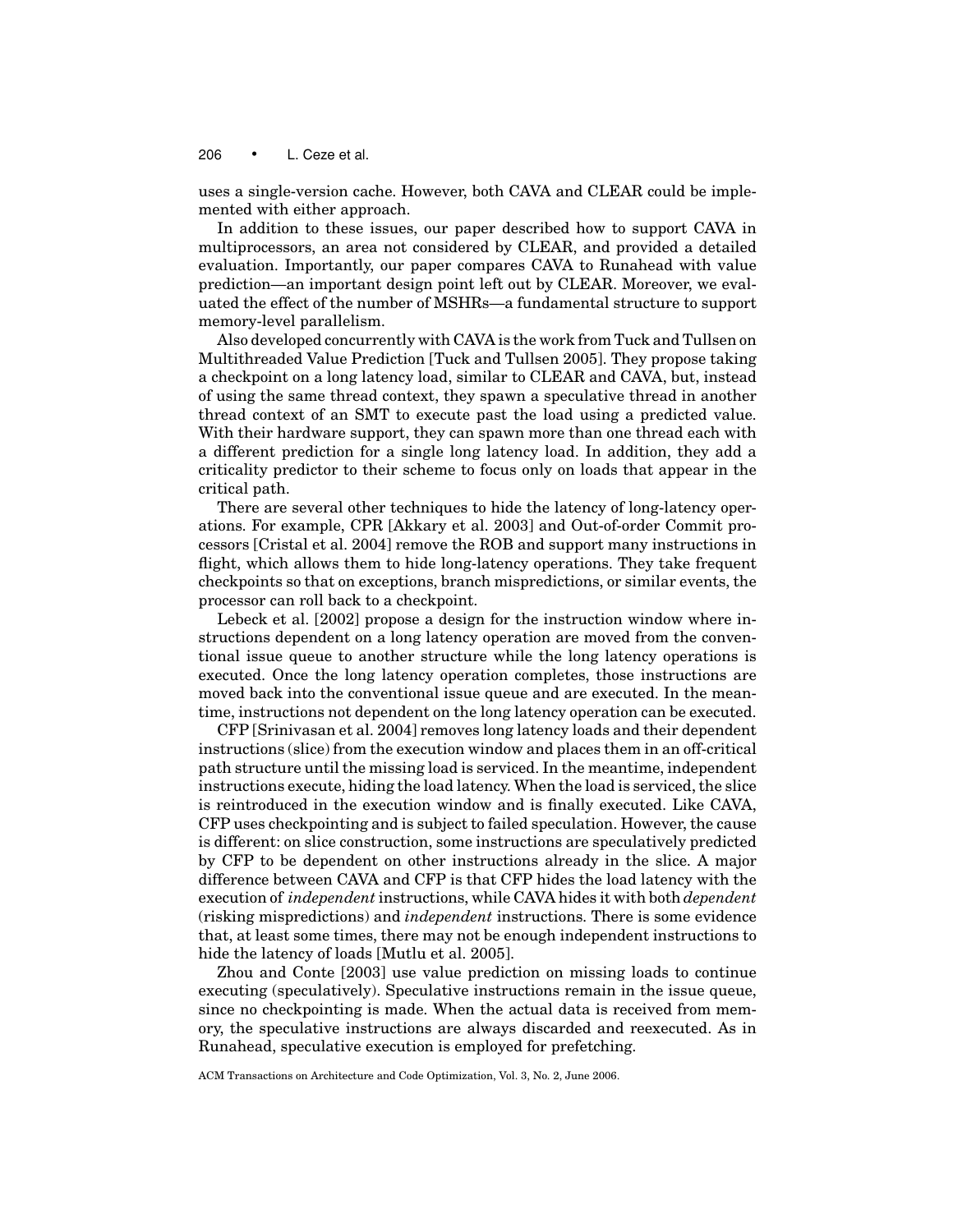uses a single-version cache. However, both CAVA and CLEAR could be implemented with either approach.

In addition to these issues, our paper described how to support CAVA in multiprocessors, an area not considered by CLEAR, and provided a detailed evaluation. Importantly, our paper compares CAVA to Runahead with value prediction—an important design point left out by CLEAR. Moreover, we evaluated the effect of the number of MSHRs—a fundamental structure to support memory-level parallelism.

Also developed concurrently with CAVA is the work from Tuck and Tullsen on Multithreaded Value Prediction [Tuck and Tullsen 2005]. They propose taking a checkpoint on a long latency load, similar to CLEAR and CAVA, but, instead of using the same thread context, they spawn a speculative thread in another thread context of an SMT to execute past the load using a predicted value. With their hardware support, they can spawn more than one thread each with a different prediction for a single long latency load. In addition, they add a criticality predictor to their scheme to focus only on loads that appear in the critical path.

There are several other techniques to hide the latency of long-latency operations. For example, CPR [Akkary et al. 2003] and Out-of-order Commit processors [Cristal et al. 2004] remove the ROB and support many instructions in flight, which allows them to hide long-latency operations. They take frequent checkpoints so that on exceptions, branch mispredictions, or similar events, the processor can roll back to a checkpoint.

Lebeck et al. [2002] propose a design for the instruction window where instructions dependent on a long latency operation are moved from the conventional issue queue to another structure while the long latency operations is executed. Once the long latency operation completes, those instructions are moved back into the conventional issue queue and are executed. In the meantime, instructions not dependent on the long latency operation can be executed.

CFP [Srinivasan et al. 2004] removes long latency loads and their dependent instructions (slice) from the execution window and places them in an off-critical path structure until the missing load is serviced. In the meantime, independent instructions execute, hiding the load latency. When the load is serviced, the slice is reintroduced in the execution window and is finally executed. Like CAVA, CFP uses checkpointing and is subject to failed speculation. However, the cause is different: on slice construction, some instructions are speculatively predicted by CFP to be dependent on other instructions already in the slice. A major difference between CAVA and CFP is that CFP hides the load latency with the execution of *independent* instructions, while CAVA hides it with both *dependent* (risking mispredictions) and *independent* instructions. There is some evidence that, at least some times, there may not be enough independent instructions to hide the latency of loads [Mutlu et al. 2005].

Zhou and Conte [2003] use value prediction on missing loads to continue executing (speculatively). Speculative instructions remain in the issue queue, since no checkpointing is made. When the actual data is received from memory, the speculative instructions are always discarded and reexecuted. As in Runahead, speculative execution is employed for prefetching.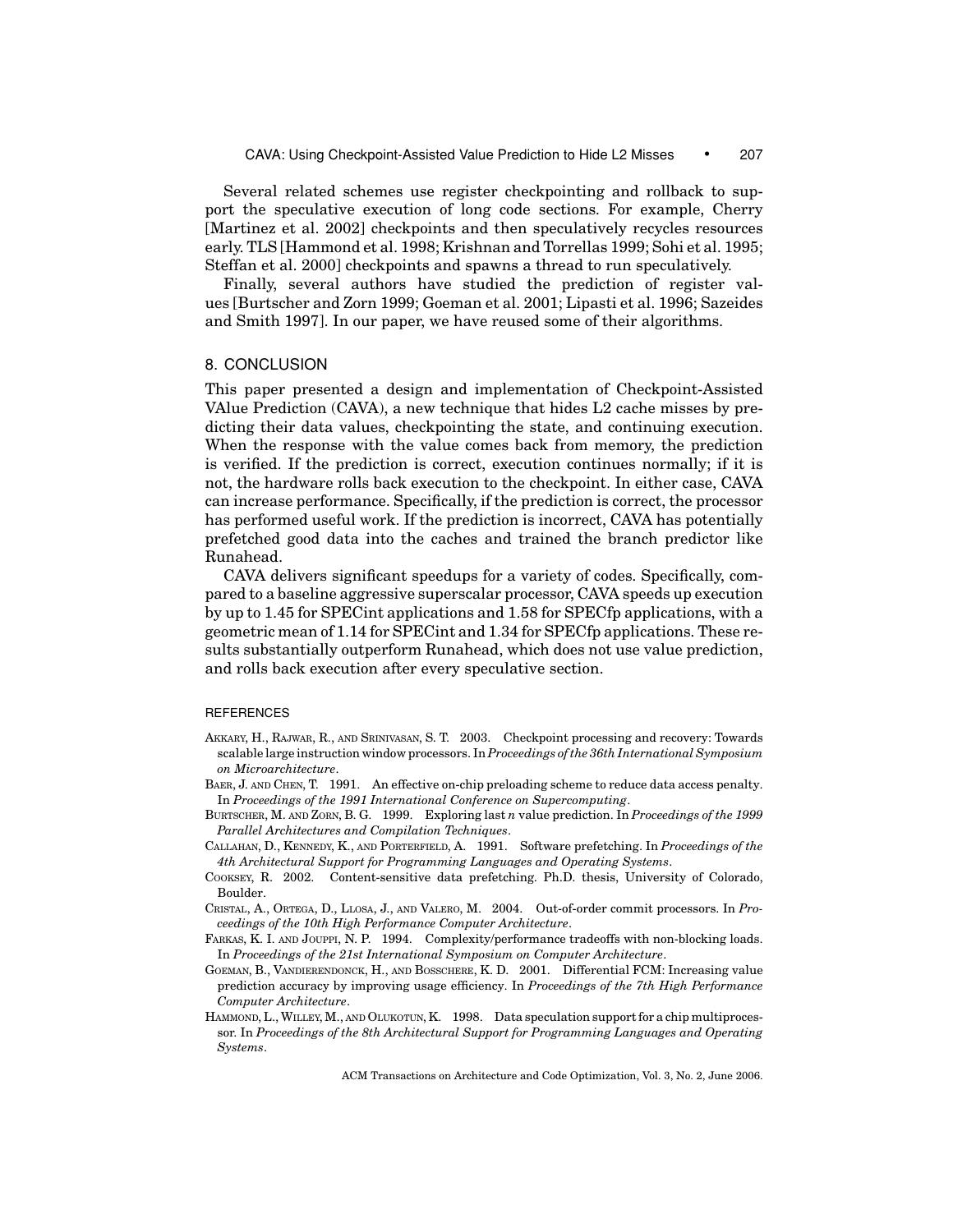Several related schemes use register checkpointing and rollback to support the speculative execution of long code sections. For example, Cherry [Martinez et al. 2002] checkpoints and then speculatively recycles resources early. TLS [Hammond et al. 1998; Krishnan and Torrellas 1999; Sohi et al. 1995; Steffan et al. 2000] checkpoints and spawns a thread to run speculatively.

Finally, several authors have studied the prediction of register values [Burtscher and Zorn 1999; Goeman et al. 2001; Lipasti et al. 1996; Sazeides and Smith 1997]. In our paper, we have reused some of their algorithms.

#### 8. CONCLUSION

This paper presented a design and implementation of Checkpoint-Assisted VAlue Prediction (CAVA), a new technique that hides L2 cache misses by predicting their data values, checkpointing the state, and continuing execution. When the response with the value comes back from memory, the prediction is verified. If the prediction is correct, execution continues normally; if it is not, the hardware rolls back execution to the checkpoint. In either case, CAVA can increase performance. Specifically, if the prediction is correct, the processor has performed useful work. If the prediction is incorrect, CAVA has potentially prefetched good data into the caches and trained the branch predictor like Runahead.

CAVA delivers significant speedups for a variety of codes. Specifically, compared to a baseline aggressive superscalar processor, CAVA speeds up execution by up to 1.45 for SPECint applications and 1.58 for SPECfp applications, with a geometric mean of 1.14 for SPECint and 1.34 for SPECfp applications. These results substantially outperform Runahead, which does not use value prediction, and rolls back execution after every speculative section.

#### REFERENCES

- AKKARY, H., RAJWAR, R., AND SRINIVASAN, S. T. 2003. Checkpoint processing and recovery: Towards scalable large instruction window processors. In *Proceedings of the 36th International Symposium on Microarchitecture*.
- BAER, J. AND CHEN, T. 1991. An effective on-chip preloading scheme to reduce data access penalty. In *Proceedings of the 1991 International Conference on Supercomputing*.
- BURTSCHER, M. AND ZORN, B. G. 1999. Exploring last *n* value prediction. In *Proceedings of the 1999 Parallel Architectures and Compilation Techniques*.
- CALLAHAN, D., KENNEDY, K., AND PORTERFIELD, A. 1991. Software prefetching. In *Proceedings of the 4th Architectural Support for Programming Languages and Operating Systems*.
- COOKSEY, R. 2002. Content-sensitive data prefetching. Ph.D. thesis, University of Colorado, Boulder.
- CRISTAL, A., ORTEGA, D., LLOSA, J., AND VALERO, M. 2004. Out-of-order commit processors. In *Proceedings of the 10th High Performance Computer Architecture*.
- FARKAS, K. I. AND JOUPPI, N. P. 1994. Complexity/performance tradeoffs with non-blocking loads. In *Proceedings of the 21st International Symposium on Computer Architecture*.
- GOEMAN, B., VANDIERENDONCK, H., AND BOSSCHERE, K. D. 2001. Differential FCM: Increasing value prediction accuracy by improving usage efficiency. In *Proceedings of the 7th High Performance Computer Architecture*.
- HAMMOND, L., WILLEY, M., AND OLUKOTUN, K. 1998. Data speculation support for a chip multiprocessor. In *Proceedings of the 8th Architectural Support for Programming Languages and Operating Systems*.